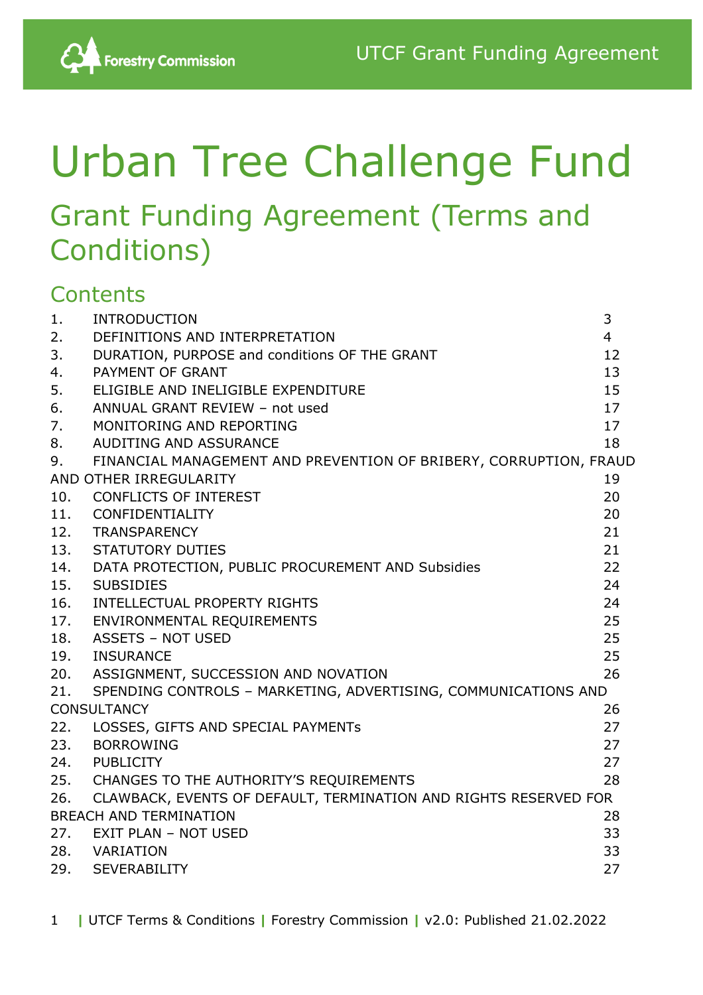# Urban Tree Challenge Fund

## Grant Funding Agreement (Terms and Conditions)

### **Contents**

| 1.  | <b>INTRODUCTION</b>                                               | 3              |
|-----|-------------------------------------------------------------------|----------------|
| 2.  | DEFINITIONS AND INTERPRETATION                                    | $\overline{4}$ |
| 3.  | DURATION, PURPOSE and conditions OF THE GRANT                     | 12             |
| 4.  | PAYMENT OF GRANT                                                  | 13             |
| 5.  | ELIGIBLE AND INELIGIBLE EXPENDITURE                               | 15             |
| 6.  | ANNUAL GRANT REVIEW - not used                                    | 17             |
| 7.  | MONITORING AND REPORTING                                          | 17             |
| 8.  | AUDITING AND ASSURANCE                                            | 18             |
| 9.  | FINANCIAL MANAGEMENT AND PREVENTION OF BRIBERY, CORRUPTION, FRAUD |                |
|     | AND OTHER IRREGULARITY                                            | 19             |
| 10. | <b>CONFLICTS OF INTEREST</b>                                      | 20             |
| 11. | CONFIDENTIALITY                                                   | 20             |
| 12. | <b>TRANSPARENCY</b>                                               | 21             |
| 13. | <b>STATUTORY DUTIES</b>                                           | 21             |
|     | 14. DATA PROTECTION, PUBLIC PROCUREMENT AND Subsidies             | 22             |
| 15. | <b>SUBSIDIES</b>                                                  | 24             |
| 16. | INTELLECTUAL PROPERTY RIGHTS                                      | 24             |
| 17. | ENVIRONMENTAL REQUIREMENTS                                        | 25             |
| 18. | <b>ASSETS - NOT USED</b>                                          | 25             |
| 19. | <b>INSURANCE</b>                                                  | 25             |
| 20. | ASSIGNMENT, SUCCESSION AND NOVATION                               | 26             |
| 21. | SPENDING CONTROLS - MARKETING, ADVERTISING, COMMUNICATIONS AND    |                |
|     | <b>CONSULTANCY</b>                                                | 26             |
| 22. | LOSSES, GIFTS AND SPECIAL PAYMENTs                                | 27             |
| 23. | <b>BORROWING</b>                                                  | 27             |
| 24. | <b>PUBLICITY</b>                                                  | 27             |
|     | 25. CHANGES TO THE AUTHORITY'S REQUIREMENTS                       | 28             |
| 26. | CLAWBACK, EVENTS OF DEFAULT, TERMINATION AND RIGHTS RESERVED FOR  |                |
|     | <b>BREACH AND TERMINATION</b>                                     | 28             |
| 27. | <b>EXIT PLAN - NOT USED</b>                                       | 33             |
| 28. | VARIATION                                                         | 33             |
| 29. | <b>SEVERABILITY</b>                                               | 27             |

1 **|** UTCF Terms & Conditions **|** Forestry Commission **|** v2.0: Published 21.02.2022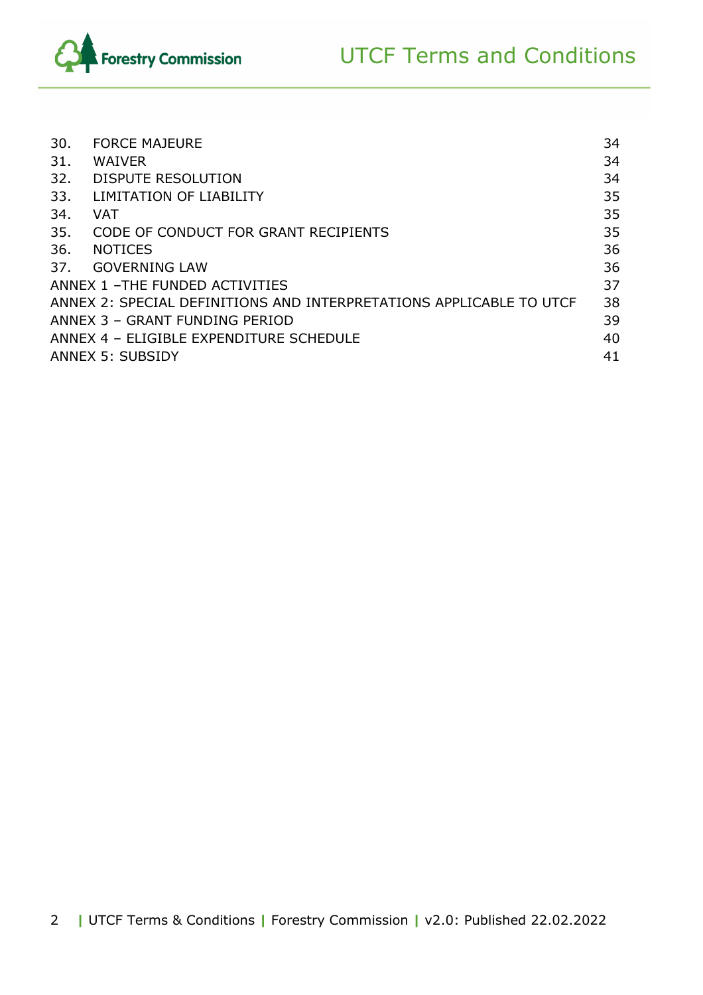



| 30.                             | <b>FORCE MAJEURE</b>                                                | 34 |
|---------------------------------|---------------------------------------------------------------------|----|
| 31.                             | <b>WAIVER</b>                                                       | 34 |
| 32.                             | DISPUTE RESOLUTION                                                  | 34 |
| 33.                             | LIMITATION OF LIABILITY                                             | 35 |
| 34.                             | VAT                                                                 | 35 |
| 35.                             | CODE OF CONDUCT FOR GRANT RECIPIENTS                                | 35 |
| 36.                             | <b>NOTICES</b>                                                      | 36 |
| 37.                             | <b>GOVERNING LAW</b>                                                | 36 |
| ANNEX 1 - THE FUNDED ACTIVITIES |                                                                     |    |
|                                 | ANNEX 2: SPECIAL DEFINITIONS AND INTERPRETATIONS APPLICABLE TO UTCF | 38 |
| ANNEX 3 - GRANT FUNDING PERIOD  |                                                                     |    |
|                                 | ANNEX 4 - ELIGIBLE EXPENDITURE SCHEDULE                             | 40 |
|                                 | <b>ANNEX 5: SUBSIDY</b>                                             | 41 |
|                                 |                                                                     |    |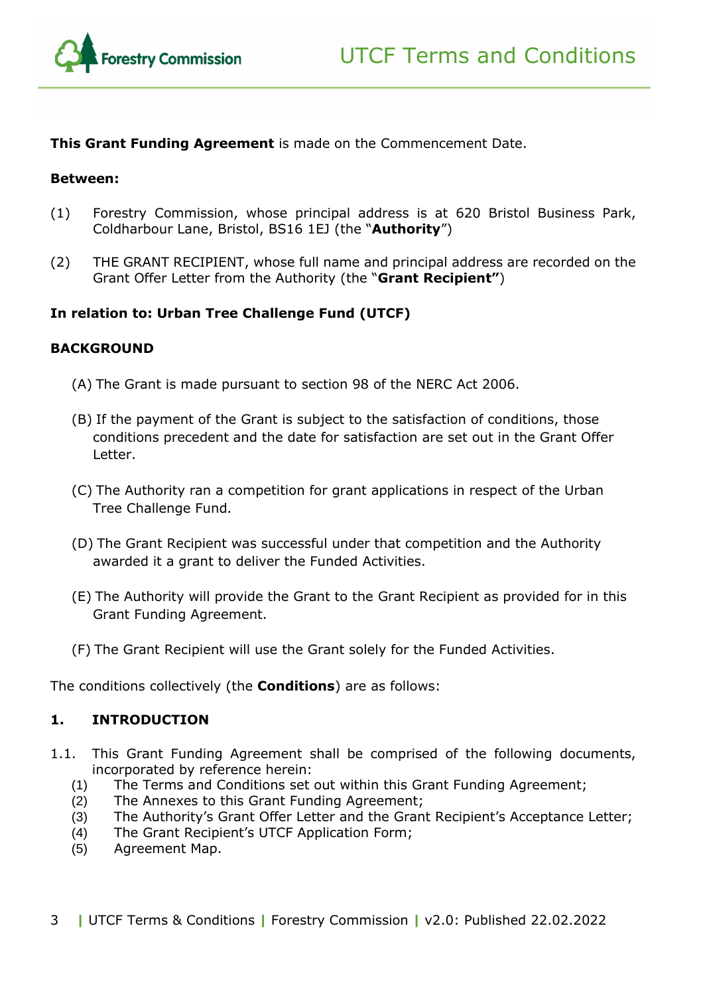

**This Grant Funding Agreement** is made on the Commencement Date.

#### **Between:**

- (1) Forestry Commission, whose principal address is at 620 Bristol Business Park, Coldharbour Lane, Bristol, BS16 1EJ (the "**Authority**")
- (2) THE GRANT RECIPIENT, whose full name and principal address are recorded on the Grant Offer Letter from the Authority (the "**Grant Recipient"**)

#### **In relation to: Urban Tree Challenge Fund (UTCF)**

#### **BACKGROUND**

- (A) The Grant is made pursuant to section 98 of the NERC Act 2006.
- (B) If the payment of the Grant is subject to the satisfaction of conditions, those conditions precedent and the date for satisfaction are set out in the Grant Offer Letter.
- (C) The Authority ran a competition for grant applications in respect of the Urban Tree Challenge Fund.
- (D) The Grant Recipient was successful under that competition and the Authority awarded it a grant to deliver the Funded Activities.
- (E) The Authority will provide the Grant to the Grant Recipient as provided for in this Grant Funding Agreement.
- (F) The Grant Recipient will use the Grant solely for the Funded Activities.

The conditions collectively (the **Conditions**) are as follows:

#### <span id="page-2-0"></span>**1. INTRODUCTION**

- 1.1. This Grant Funding Agreement shall be comprised of the following documents, incorporated by reference herein:
	- (1) The Terms and Conditions set out within this Grant Funding Agreement;
	- (2) The Annexes to this Grant Funding Agreement;
	- (3) The Authority's Grant Offer Letter and the Grant Recipient's Acceptance Letter;
	- (4) The Grant Recipient's UTCF Application Form;
	- (5) Agreement Map.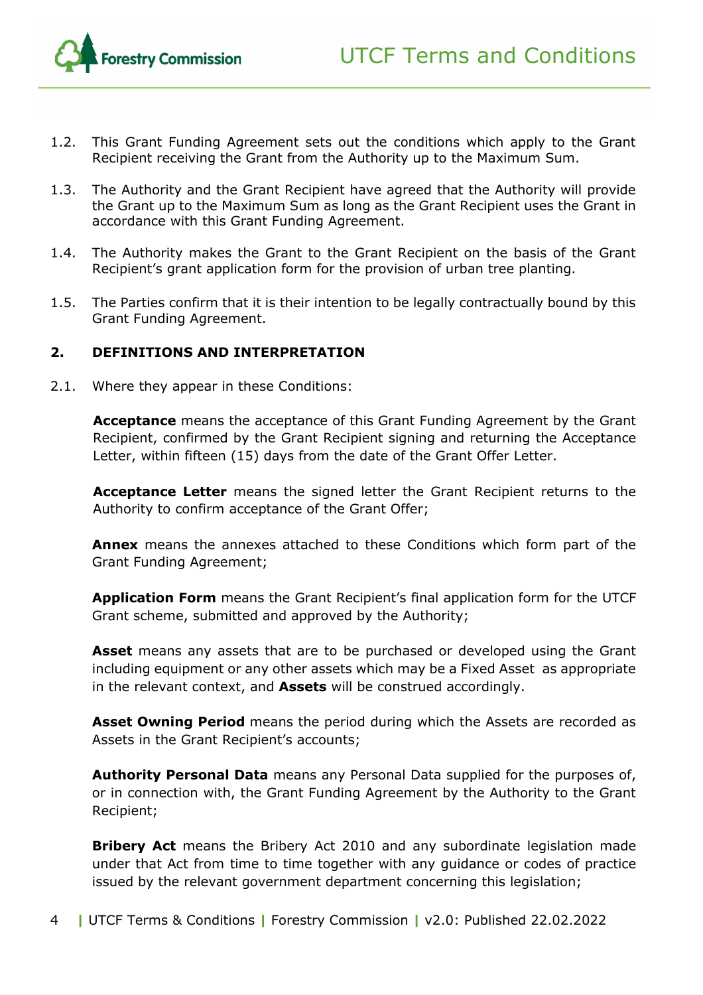

- 1.2. This Grant Funding Agreement sets out the conditions which apply to the Grant Recipient receiving the Grant from the Authority up to the Maximum Sum.
- 1.3. The Authority and the Grant Recipient have agreed that the Authority will provide the Grant up to the Maximum Sum as long as the Grant Recipient uses the Grant in accordance with this Grant Funding Agreement.
- 1.4. The Authority makes the Grant to the Grant Recipient on the basis of the Grant Recipient's grant application form for the provision of urban tree planting.
- 1.5. The Parties confirm that it is their intention to be legally contractually bound by this Grant Funding Agreement.

#### <span id="page-3-0"></span>**2. DEFINITIONS AND INTERPRETATION**

2.1. Where they appear in these Conditions:

**Acceptance** means the acceptance of this Grant Funding Agreement by the Grant Recipient, confirmed by the Grant Recipient signing and returning the Acceptance Letter, within fifteen (15) days from the date of the Grant Offer Letter.

**Acceptance Letter** means the signed letter the Grant Recipient returns to the Authority to confirm acceptance of the Grant Offer;

**Annex** means the annexes attached to these Conditions which form part of the Grant Funding Agreement;

**Application Form** means the Grant Recipient's final application form for the UTCF Grant scheme, submitted and approved by the Authority;

**Asset** means any assets that are to be purchased or developed using the Grant including equipment or any other assets which may be a Fixed Asset as appropriate in the relevant context, and **Assets** will be construed accordingly.

**Asset Owning Period** means the period during which the Assets are recorded as Assets in the Grant Recipient's accounts;

**Authority Personal Data** means any Personal Data supplied for the purposes of, or in connection with, the Grant Funding Agreement by the Authority to the Grant Recipient;

**Bribery Act** means the Bribery Act 2010 and any subordinate legislation made under that Act from time to time together with any guidance or codes of practice issued by the relevant government department concerning this legislation;

4 **|** UTCF Terms & Conditions **|** Forestry Commission **|** v2.0: Published 22.02.2022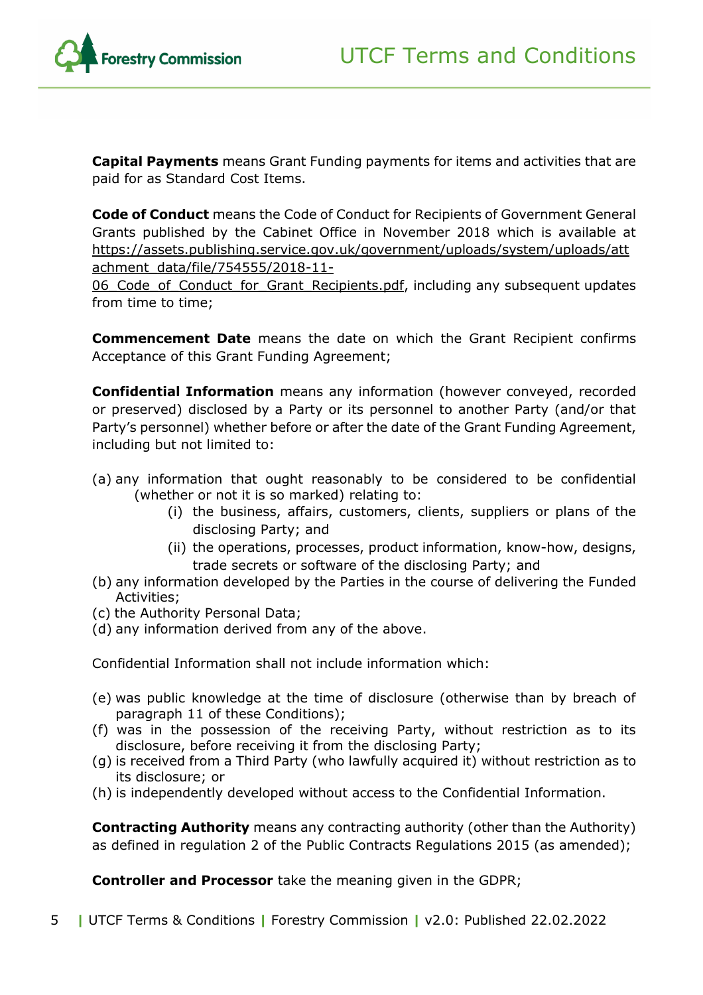

**Capital Payments** means Grant Funding payments for items and activities that are paid for as Standard Cost Items.

**Code of Conduct** means the Code of Conduct for Recipients of Government General Grants published by the Cabinet Office in November 2018 which is available at [https://assets.publishing.service.gov.uk/government/uploads/system/uploads/att](https://assets.publishing.service.gov.uk/government/uploads/system/uploads/attachment_data/file/754555/2018-11-06_Code_of_Conduct_for_Grant_Recipients.pdf) [achment\\_data/file/754555/2018-11-](https://assets.publishing.service.gov.uk/government/uploads/system/uploads/attachment_data/file/754555/2018-11-06_Code_of_Conduct_for_Grant_Recipients.pdf)

06 Code of Conduct for Grant Recipients.pdf, including any subsequent updates from time to time;

**Commencement Date** means the date on which the Grant Recipient confirms Acceptance of this Grant Funding Agreement;

**Confidential Information** means any information (however conveyed, recorded or preserved) disclosed by a Party or its personnel to another Party (and/or that Party's personnel) whether before or after the date of the Grant Funding Agreement, including but not limited to:

- (a) any information that ought reasonably to be considered to be confidential (whether or not it is so marked) relating to:
	- (i) the business, affairs, customers, clients, suppliers or plans of the disclosing Party; and
	- (ii) the operations, processes, product information, know-how, designs, trade secrets or software of the disclosing Party; and
- (b) any information developed by the Parties in the course of delivering the Funded Activities;
- (c) the Authority Personal Data;
- (d) any information derived from any of the above.

Confidential Information shall not include information which:

- (e) was public knowledge at the time of disclosure (otherwise than by breach of paragraph [11](#page-19-1) of these Conditions);
- (f) was in the possession of the receiving Party, without restriction as to its disclosure, before receiving it from the disclosing Party;
- (g) is received from a Third Party (who lawfully acquired it) without restriction as to its disclosure; or
- (h) is independently developed without access to the Confidential Information.

**Contracting Authority** means any contracting authority (other than the Authority) as defined in regulation 2 of the Public Contracts Regulations 2015 (as amended);

**Controller and Processor** take the meaning given in the GDPR;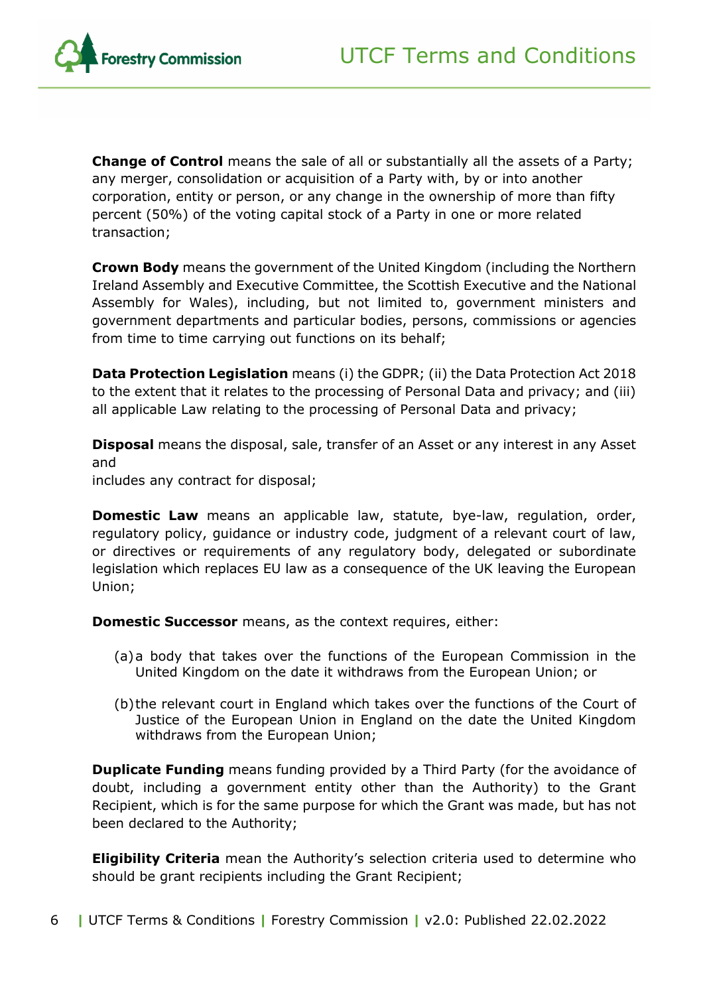

**Change of Control** means the sale of all or substantially all the assets of a Party; any merger, consolidation or acquisition of a Party with, by or into another corporation, entity or person, or any change in the ownership of more than fifty percent (50%) of the voting capital stock of a Party in one or more related transaction;

**Crown Body** means the government of the United Kingdom (including the Northern Ireland Assembly and Executive Committee, the Scottish Executive and the National Assembly for Wales), including, but not limited to, government ministers and government departments and particular bodies, persons, commissions or agencies from time to time carrying out functions on its behalf;

**Data Protection Legislation** means (i) the GDPR; (ii) the Data Protection Act 2018 to the extent that it relates to the processing of Personal Data and privacy; and (iii) all applicable Law relating to the processing of Personal Data and privacy;

**Disposal** means the disposal, sale, transfer of an Asset or any interest in any Asset and

includes any contract for disposal;

**Domestic Law** means an applicable law, statute, bye-law, regulation, order, regulatory policy, guidance or industry code, judgment of a relevant court of law, or directives or requirements of any regulatory body, delegated or subordinate legislation which replaces EU law as a consequence of the UK leaving the European Union;

**Domestic Successor** means, as the context requires, either:

- (a)a body that takes over the functions of the European Commission in the United Kingdom on the date it withdraws from the European Union; or
- (b)the relevant court in England which takes over the functions of the Court of Justice of the European Union in England on the date the United Kingdom withdraws from the European Union;

**Duplicate Funding** means funding provided by a Third Party (for the avoidance of doubt, including a government entity other than the Authority) to the Grant Recipient, which is for the same purpose for which the Grant was made, but has not been declared to the Authority;

**Eligibility Criteria** mean the Authority's selection criteria used to determine who should be grant recipients including the Grant Recipient;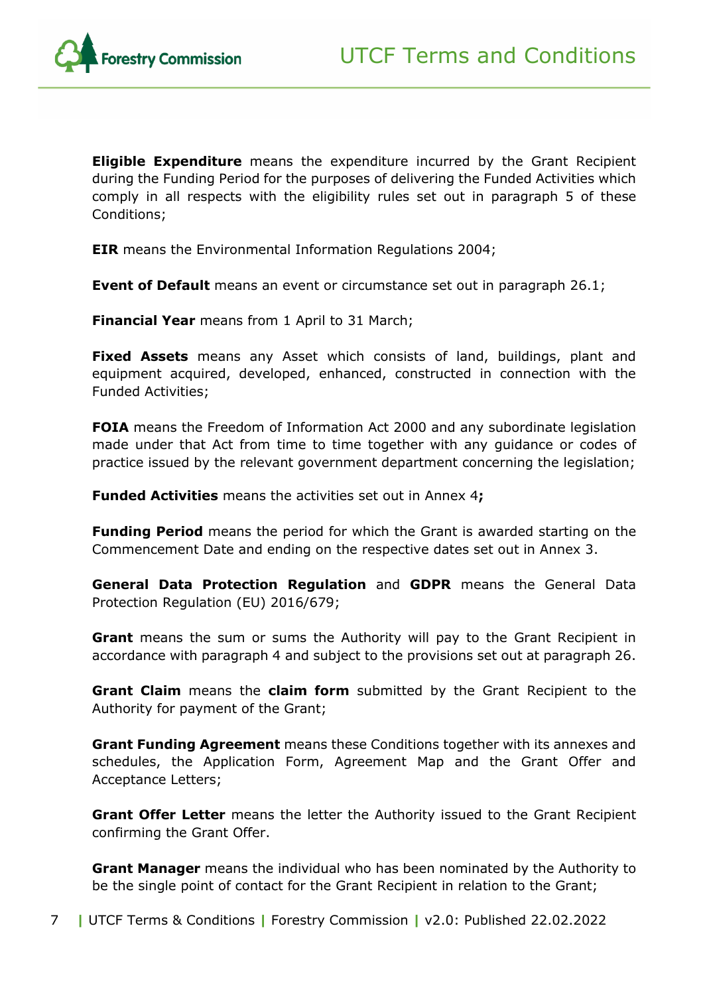

**Eligible Expenditure** means the expenditure incurred by the Grant Recipient during the Funding Period for the purposes of delivering the Funded Activities which comply in all respects with the eligibility rules set out in paragraph [5](#page-14-0) of these Conditions;

**EIR** means the Environmental Information Regulations 2004;

**Event of Default** means an event or circumstance set out in paragraph [26.1;](#page-27-2)

**Financial Year** means from 1 April to 31 March;

**Fixed Assets** means any Asset which consists of land, buildings, plant and equipment acquired, developed, enhanced, constructed in connection with the Funded Activities;

**FOIA** means the Freedom of Information Act 2000 and any subordinate legislation made under that Act from time to time together with any guidance or codes of practice issued by the relevant government department concerning the legislation;

**Funded Activities** means the activities set out in Annex 4**;**

**Funding Period** means the period for which the Grant is awarded starting on the Commencement Date and ending on the respective dates set out in Annex 3.

**General Data Protection Regulation** and **GDPR** means the General Data Protection Regulation (EU) 2016/679;

**Grant** means the sum or sums the Authority will pay to the Grant Recipient in accordance with paragraph [4](#page-12-0) and subject to the provisions set out at paragraph [26.](#page-27-1)

**Grant Claim** means the **claim form** submitted by the Grant Recipient to the Authority for payment of the Grant;

**Grant Funding Agreement** means these Conditions together with its annexes and schedules, the Application Form, Agreement Map and the Grant Offer and Acceptance Letters;

**Grant Offer Letter** means the letter the Authority issued to the Grant Recipient confirming the Grant Offer.

**Grant Manager** means the individual who has been nominated by the Authority to be the single point of contact for the Grant Recipient in relation to the Grant;

7 **|** UTCF Terms & Conditions **|** Forestry Commission **|** v2.0: Published 22.02.2022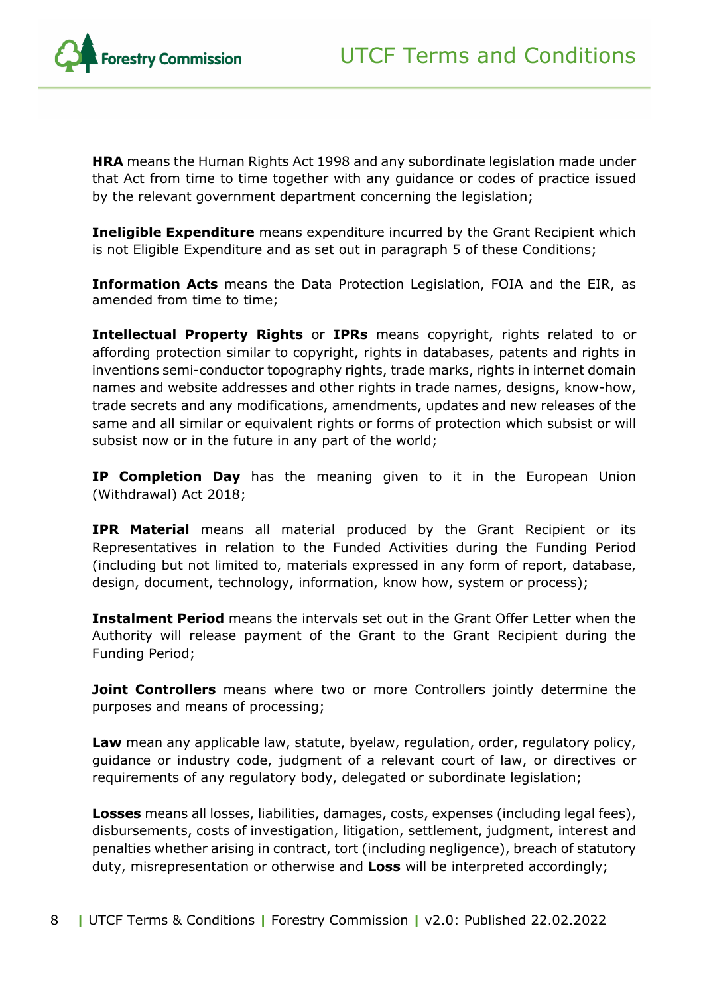

**HRA** means the Human Rights Act 1998 and any subordinate legislation made under that Act from time to time together with any guidance or codes of practice issued by the relevant government department concerning the legislation;

**Ineligible Expenditure** means expenditure incurred by the Grant Recipient which is not Eligible Expenditure and as set out in paragraph [5](#page-14-0) of these Conditions;

**Information Acts** means the Data Protection Legislation, FOIA and the EIR, as amended from time to time;

**Intellectual Property Rights** or **IPRs** means copyright, rights related to or affording protection similar to copyright, rights in databases, patents and rights in inventions semi-conductor topography rights, trade marks, rights in internet domain names and website addresses and other rights in trade names, designs, know-how, trade secrets and any modifications, amendments, updates and new releases of the same and all similar or equivalent rights or forms of protection which subsist or will subsist now or in the future in any part of the world;

**IP Completion Day** has the meaning given to it in the European Union (Withdrawal) Act 2018;

**IPR Material** means all material produced by the Grant Recipient or its Representatives in relation to the Funded Activities during the Funding Period (including but not limited to, materials expressed in any form of report, database, design, document, technology, information, know how, system or process);

**Instalment Period** means the intervals set out in the Grant Offer Letter when the Authority will release payment of the Grant to the Grant Recipient during the Funding Period;

**Joint Controllers** means where two or more Controllers jointly determine the purposes and means of processing;

**Law** mean any applicable law, statute, byelaw, regulation, order, regulatory policy, guidance or industry code, judgment of a relevant court of law, or directives or requirements of any regulatory body, delegated or subordinate legislation;

**Losses** means all losses, liabilities, damages, costs, expenses (including legal fees), disbursements, costs of investigation, litigation, settlement, judgment, interest and penalties whether arising in contract, tort (including negligence), breach of statutory duty, misrepresentation or otherwise and **Loss** will be interpreted accordingly;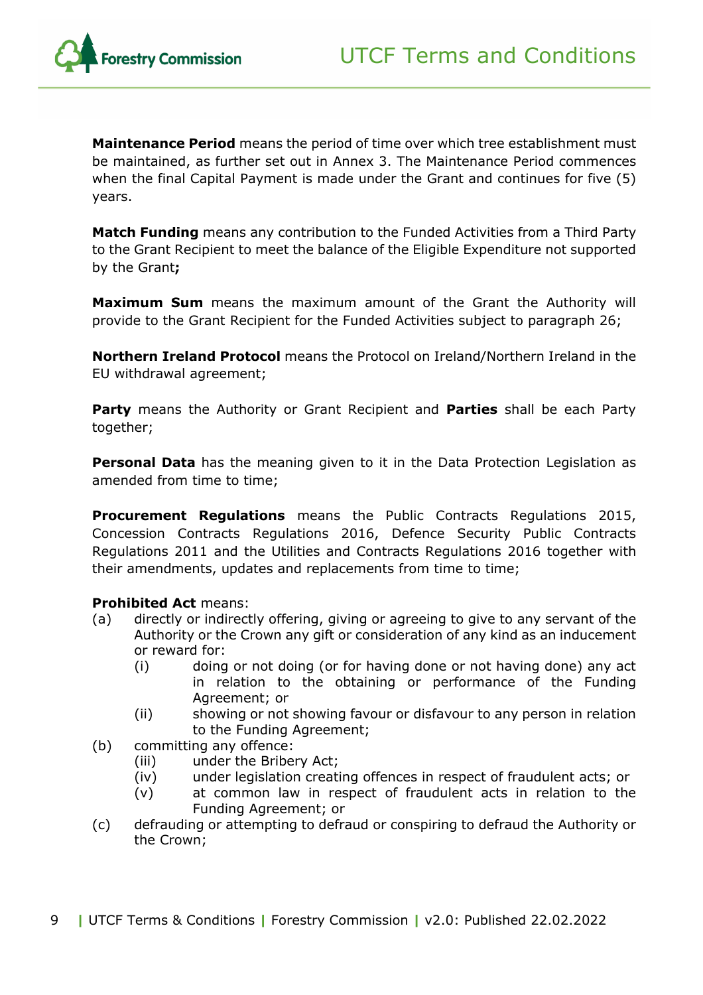

**Maintenance Period** means the period of time over which tree establishment must be maintained, as further set out in Annex 3. The Maintenance Period commences when the final Capital Payment is made under the Grant and continues for five (5) years.

**Match Funding** means any contribution to the Funded Activities from a Third Party to the Grant Recipient to meet the balance of the Eligible Expenditure not supported by the Grant**;**

**Maximum Sum** means the maximum amount of the Grant the Authority will provide to the Grant Recipient for the Funded Activities subject to paragraph [26;](#page-27-1)

**Northern Ireland Protocol** means the Protocol on Ireland/Northern Ireland in the EU withdrawal agreement;

**Party** means the Authority or Grant Recipient and **Parties** shall be each Party together;

**Personal Data** has the meaning given to it in the Data Protection Legislation as amended from time to time;

**Procurement Regulations** means the Public Contracts Regulations 2015, Concession Contracts Regulations 2016, Defence Security Public Contracts Regulations 2011 and the Utilities and Contracts Regulations 2016 together with their amendments, updates and replacements from time to time;

#### **Prohibited Act** means:

- (a) directly or indirectly offering, giving or agreeing to give to any servant of the Authority or the Crown any gift or consideration of any kind as an inducement or reward for:
	- (i) doing or not doing (or for having done or not having done) any act in relation to the obtaining or performance of the Funding Agreement; or
	- (ii) showing or not showing favour or disfavour to any person in relation to the Funding Agreement;
- (b) committing any offence:
	- (iii) under the Bribery Act;
	- (iv) under legislation creating offences in respect of fraudulent acts; or
	- (v) at common law in respect of fraudulent acts in relation to the Funding Agreement; or
- (c) defrauding or attempting to defraud or conspiring to defraud the Authority or the Crown;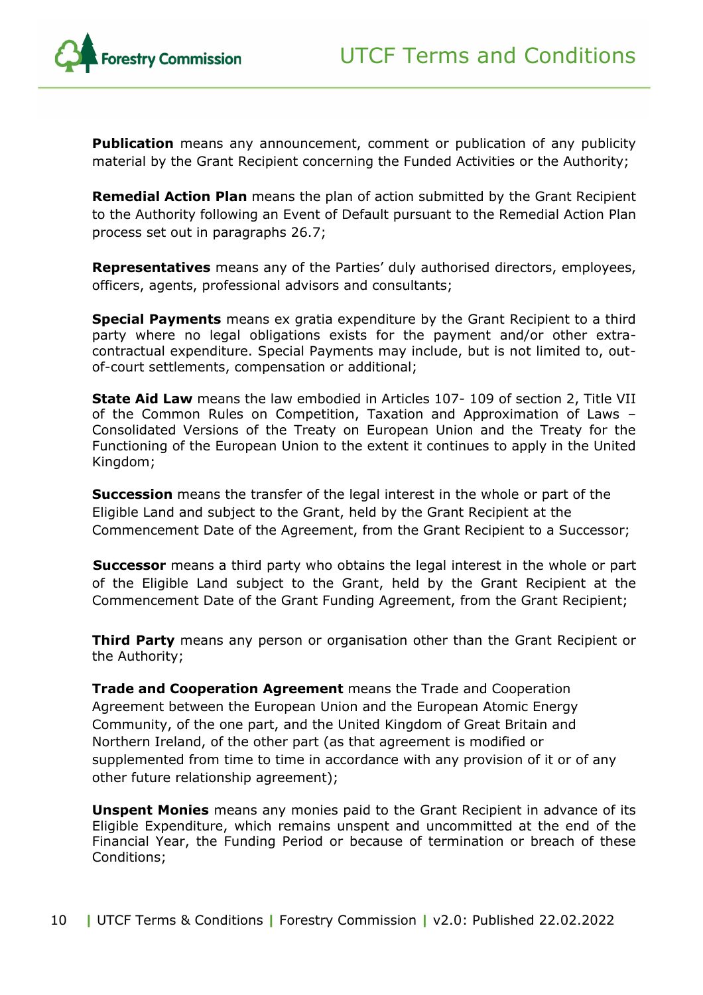**Publication** means any announcement, comment or publication of any publicity material by the Grant Recipient concerning the Funded Activities or the Authority;

**Remedial Action Plan** means the plan of action submitted by the Grant Recipient to the Authority following an Event of Default pursuant to the Remedial Action Plan process set out in paragraphs [26.7;](#page-30-0)

**Representatives** means any of the Parties' duly authorised directors, employees, officers, agents, professional advisors and consultants;

**Special Payments** means ex gratia expenditure by the Grant Recipient to a third party where no legal obligations exists for the payment and/or other extracontractual expenditure. Special Payments may include, but is not limited to, outof-court settlements, compensation or additional;

**State Aid Law** means the law embodied in Articles 107- 109 of section 2, Title VII of the Common Rules on Competition, Taxation and Approximation of Laws – Consolidated Versions of the Treaty on European Union and the Treaty for the Functioning of the European Union to the extent it continues to apply in the United Kingdom;

**Succession** means the transfer of the legal interest in the whole or part of the Eligible Land and subject to the Grant, held by the Grant Recipient at the Commencement Date of the Agreement, from the Grant Recipient to a Successor;

**Successor** means a third party who obtains the legal interest in the whole or part of the Eligible Land subject to the Grant, held by the Grant Recipient at the Commencement Date of the Grant Funding Agreement, from the Grant Recipient;

**Third Party** means any person or organisation other than the Grant Recipient or the Authority;

**Trade and Cooperation Agreement** means the Trade and Cooperation Agreement between the European Union and the European Atomic Energy Community, of the one part, and the United Kingdom of Great Britain and Northern Ireland, of the other part (as that agreement is modified or supplemented from time to time in accordance with any provision of it or of any other future relationship agreement);

**Unspent Monies** means any monies paid to the Grant Recipient in advance of its Eligible Expenditure, which remains unspent and uncommitted at the end of the Financial Year, the Funding Period or because of termination or breach of these Conditions;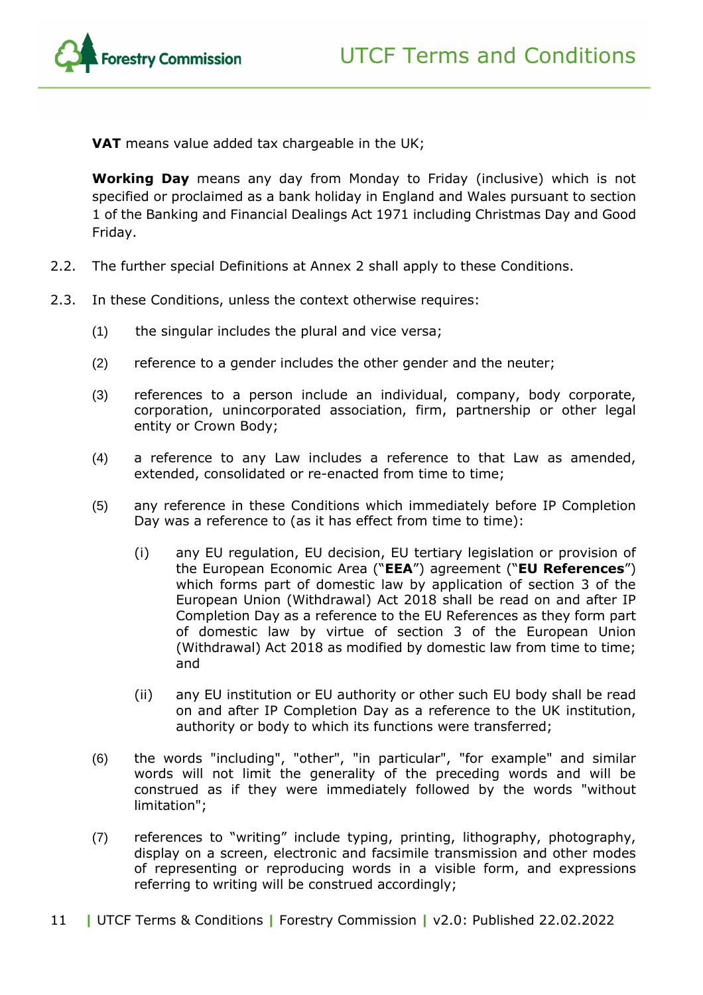UTCF Terms and Conditions



**VAT** means value added tax chargeable in the UK;

**Working Day** means any day from Monday to Friday (inclusive) which is not specified or proclaimed as a bank holiday in England and Wales pursuant to section 1 of the Banking and Financial Dealings Act 1971 including Christmas Day and Good Friday.

- 2.2. The further special Definitions at Annex 2 shall apply to these Conditions.
- 2.3. In these Conditions, unless the context otherwise requires:
	- (1) the singular includes the plural and vice versa;
	- (2) reference to a gender includes the other gender and the neuter;
	- (3) references to a person include an individual, company, body corporate, corporation, unincorporated association, firm, partnership or other legal entity or Crown Body;
	- (4) a reference to any Law includes a reference to that Law as amended, extended, consolidated or re-enacted from time to time;
	- (5) any reference in these Conditions which immediately before IP Completion Day was a reference to (as it has effect from time to time):
		- (i) any EU regulation, EU decision, EU tertiary legislation or provision of the European Economic Area ("**EEA**") agreement ("**EU References**") which forms part of domestic law by application of section 3 of the European Union (Withdrawal) Act 2018 shall be read on and after IP Completion Day as a reference to the EU References as they form part of domestic law by virtue of section 3 of the European Union (Withdrawal) Act 2018 as modified by domestic law from time to time; and
		- (ii) any EU institution or EU authority or other such EU body shall be read on and after IP Completion Day as a reference to the UK institution, authority or body to which its functions were transferred;
	- (6) the words "including", "other", "in particular", "for example" and similar words will not limit the generality of the preceding words and will be construed as if they were immediately followed by the words "without limitation";
	- (7) references to "writing" include typing, printing, lithography, photography, display on a screen, electronic and facsimile transmission and other modes of representing or reproducing words in a visible form, and expressions referring to writing will be construed accordingly;
- 11 **|** UTCF Terms & Conditions **|** Forestry Commission **|** v2.0: Published 22.02.2022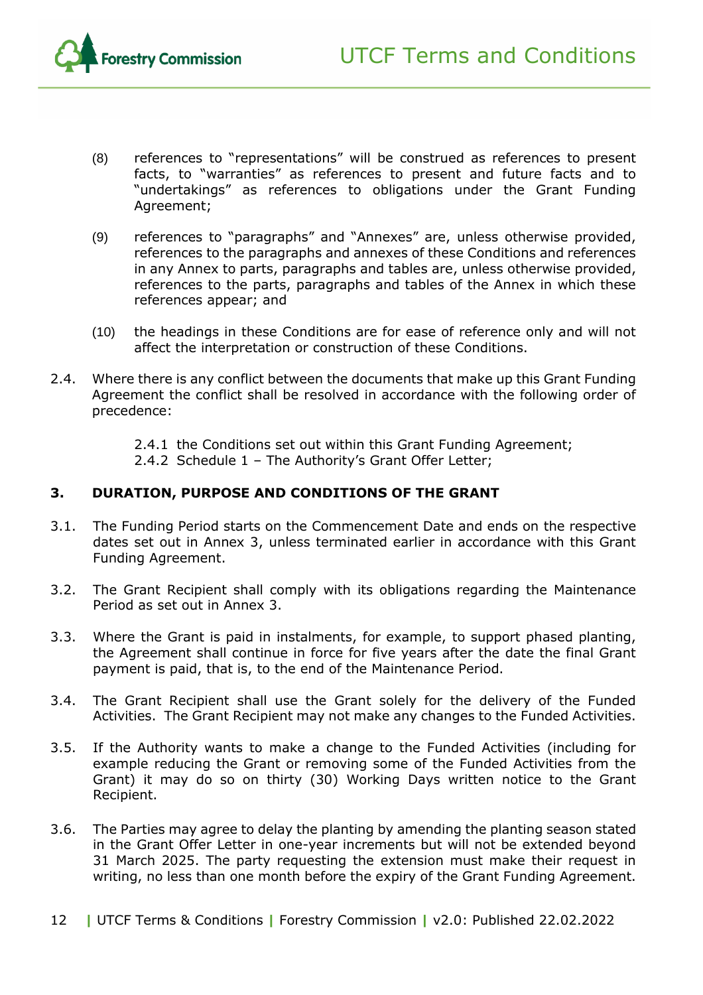

- (8) references to "representations" will be construed as references to present facts, to "warranties" as references to present and future facts and to "undertakings" as references to obligations under the Grant Funding Agreement;
- (9) references to "paragraphs" and "Annexes" are, unless otherwise provided, references to the paragraphs and annexes of these Conditions and references in any Annex to parts, paragraphs and tables are, unless otherwise provided, references to the parts, paragraphs and tables of the Annex in which these references appear; and
- (10) the headings in these Conditions are for ease of reference only and will not affect the interpretation or construction of these Conditions.
- 2.4. Where there is any conflict between the documents that make up this Grant Funding Agreement the conflict shall be resolved in accordance with the following order of precedence:
	- 2.4.1 the Conditions set out within this Grant Funding Agreement;
	- 2.4.2 Schedule 1 The Authority's Grant Offer Letter;

#### <span id="page-11-0"></span>**3. DURATION, PURPOSE AND CONDITIONS OF THE GRANT**

- 3.1. The Funding Period starts on the Commencement Date and ends on the respective dates set out in Annex 3, unless terminated earlier in accordance with this Grant Funding Agreement.
- 3.2. The Grant Recipient shall comply with its obligations regarding the Maintenance Period as set out in Annex 3.
- 3.3. Where the Grant is paid in instalments, for example, to support phased planting, the Agreement shall continue in force for five years after the date the final Grant payment is paid, that is, to the end of the Maintenance Period.
- 3.4. The Grant Recipient shall use the Grant solely for the delivery of the Funded Activities. The Grant Recipient may not make any changes to the Funded Activities.
- 3.5. If the Authority wants to make a change to the Funded Activities (including for example reducing the Grant or removing some of the Funded Activities from the Grant) it may do so on thirty (30) Working Days written notice to the Grant Recipient.
- 3.6. The Parties may agree to delay the planting by amending the planting season stated in the Grant Offer Letter in one-year increments but will not be extended beyond 31 March 2025. The party requesting the extension must make their request in writing, no less than one month before the expiry of the Grant Funding Agreement.
- 12 **|** UTCF Terms & Conditions **|** Forestry Commission **|** v2.0: Published 22.02.2022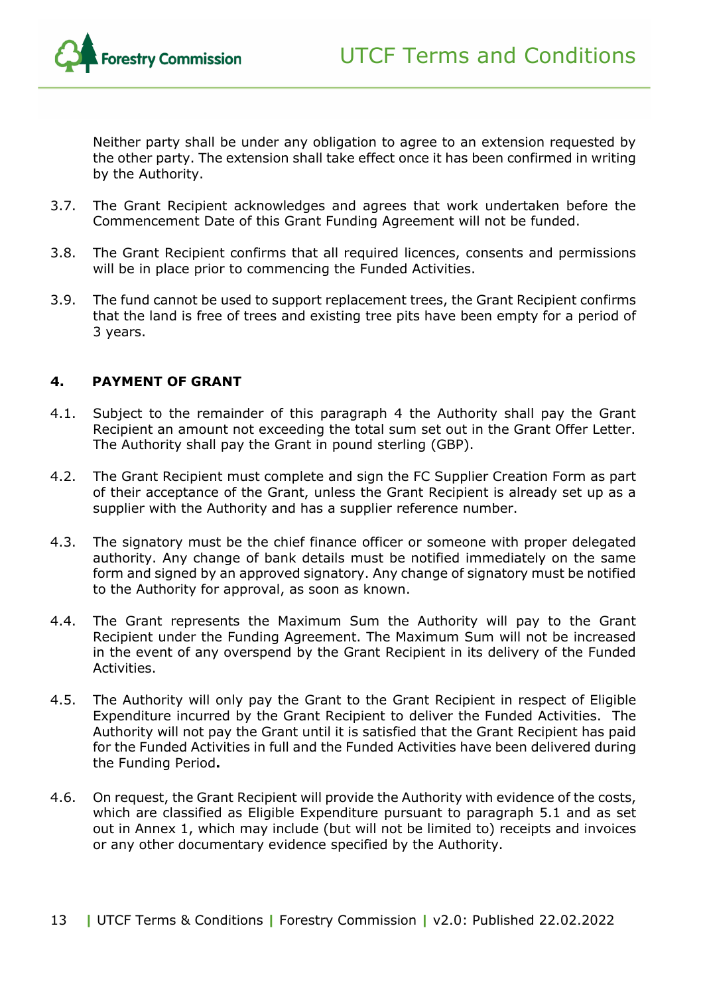

Neither party shall be under any obligation to agree to an extension requested by the other party. The extension shall take effect once it has been confirmed in writing by the Authority.

- 3.7. The Grant Recipient acknowledges and agrees that work undertaken before the Commencement Date of this Grant Funding Agreement will not be funded.
- 3.8. The Grant Recipient confirms that all required licences, consents and permissions will be in place prior to commencing the Funded Activities.
- 3.9. The fund cannot be used to support replacement trees, the Grant Recipient confirms that the land is free of trees and existing tree pits have been empty for a period of 3 years.

#### <span id="page-12-0"></span>**4. PAYMENT OF GRANT**

- 4.1. Subject to the remainder of this paragraph [4](#page-12-0) the Authority shall pay the Grant Recipient an amount not exceeding the total sum set out in the Grant Offer Letter. The Authority shall pay the Grant in pound sterling (GBP).
- 4.2. The Grant Recipient must complete and sign the FC Supplier Creation Form as part of their acceptance of the Grant, unless the Grant Recipient is already set up as a supplier with the Authority and has a supplier reference number.
- 4.3. The signatory must be the chief finance officer or someone with proper delegated authority. Any change of bank details must be notified immediately on the same form and signed by an approved signatory. Any change of signatory must be notified to the Authority for approval, as soon as known.
- 4.4. The Grant represents the Maximum Sum the Authority will pay to the Grant Recipient under the Funding Agreement. The Maximum Sum will not be increased in the event of any overspend by the Grant Recipient in its delivery of the Funded Activities.
- 4.5. The Authority will only pay the Grant to the Grant Recipient in respect of Eligible Expenditure incurred by the Grant Recipient to deliver the Funded Activities. The Authority will not pay the Grant until it is satisfied that the Grant Recipient has paid for the Funded Activities in full and the Funded Activities have been delivered during the Funding Period**.**
- 4.6. On request, the Grant Recipient will provide the Authority with evidence of the costs, which are classified as Eligible Expenditure pursuant to paragraph 5.1 and as set out in Annex 1, which may include (but will not be limited to) receipts and invoices or any other documentary evidence specified by the Authority.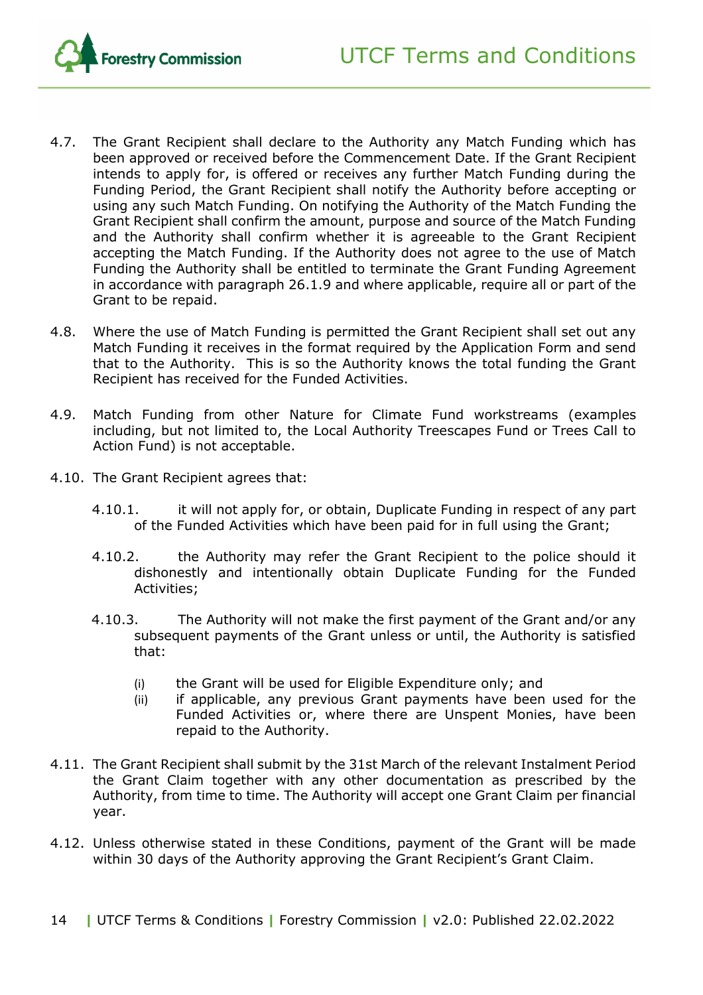

- <span id="page-13-1"></span>4.7. The Grant Recipient shall declare to the Authority any Match Funding which has been approved or received before the Commencement Date. If the Grant Recipient intends to apply for, is offered or receives any further Match Funding during the Funding Period, the Grant Recipient shall notify the Authority before accepting or using any such Match Funding. On notifying the Authority of the Match Funding the Grant Recipient shall confirm the amount, purpose and source of the Match Funding and the Authority shall confirm whether it is agreeable to the Grant Recipient accepting the Match Funding. If the Authority does not agree to the use of Match Funding the Authority shall be entitled to terminate the Grant Funding Agreement in accordance with paragraph [26.1.9](#page-28-0) and where applicable, require all or part of the Grant to be repaid.
- 4.8. Where the use of Match Funding is permitted the Grant Recipient shall set out any Match Funding it receives in the format required by the Application Form and send that to the Authority. This is so the Authority knows the total funding the Grant Recipient has received for the Funded Activities.
- 4.9. Match Funding from other Nature for Climate Fund workstreams (examples including, but not limited to, the Local Authority Treescapes Fund or Trees Call to Action Fund) is not acceptable.
- 4.10. The Grant Recipient agrees that:
	- 4.10.1. it will not apply for, or obtain, Duplicate Funding in respect of any part of the Funded Activities which have been paid for in full using the Grant;
	- 4.10.2. the Authority may refer the Grant Recipient to the police should it dishonestly and intentionally obtain Duplicate Funding for the Funded Activities;
	- 4.10.3. The Authority will not make the first payment of the Grant and/or any subsequent payments of the Grant unless or until, the Authority is satisfied that:
		- (i) the Grant will be used for Eligible Expenditure only; and
		- (ii) if applicable, any previous Grant payments have been used for the Funded Activities or, where there are Unspent Monies, have been repaid to the Authority.
- <span id="page-13-0"></span>4.11. The Grant Recipient shall submit by the 31st March of the relevant Instalment Period the Grant Claim together with any other documentation as prescribed by the Authority, from time to time. The Authority will accept one Grant Claim per financial year.
- 4.12. Unless otherwise stated in these Conditions, payment of the Grant will be made within 30 days of the Authority approving the Grant Recipient's Grant Claim.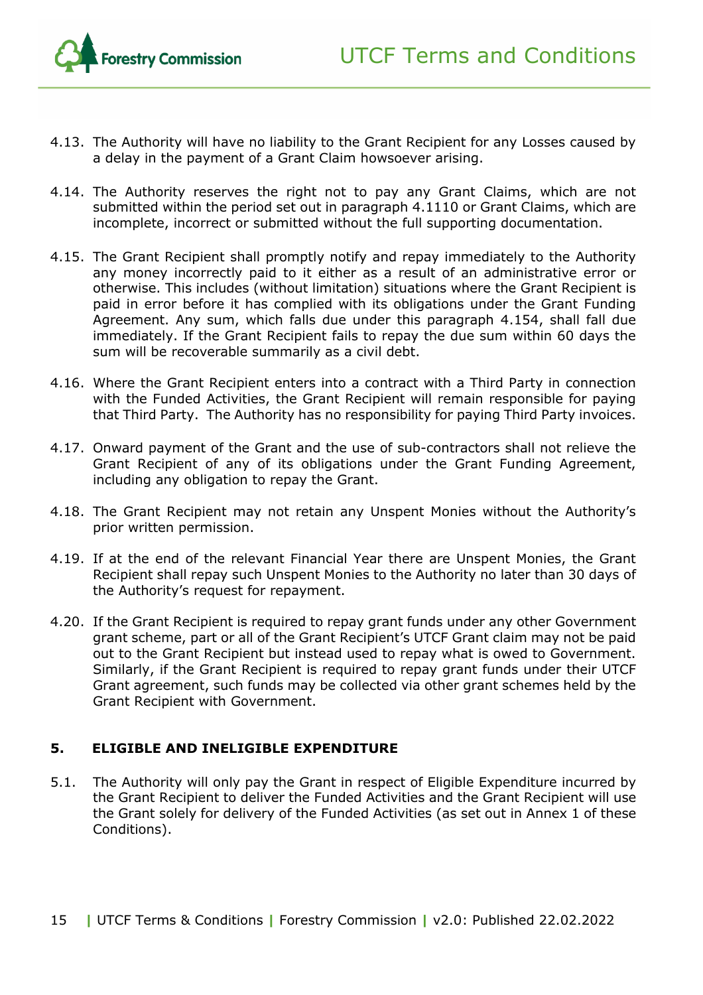

- 4.13. The Authority will have no liability to the Grant Recipient for any Losses caused by a delay in the payment of a Grant Claim howsoever arising.
- 4.14. The Authority reserves the right not to pay any Grant Claims, which are not submitted within the period set out in paragraph [4.111](#page-13-0)0 or Grant Claims, which are incomplete, incorrect or submitted without the full supporting documentation.
- <span id="page-14-1"></span>4.15. The Grant Recipient shall promptly notify and repay immediately to the Authority any money incorrectly paid to it either as a result of an administrative error or otherwise. This includes (without limitation) situations where the Grant Recipient is paid in error before it has complied with its obligations under the Grant Funding Agreement. Any sum, which falls due under this paragraph [4.154](#page-14-1), shall fall due immediately. If the Grant Recipient fails to repay the due sum within 60 days the sum will be recoverable summarily as a civil debt.
- 4.16. Where the Grant Recipient enters into a contract with a Third Party in connection with the Funded Activities, the Grant Recipient will remain responsible for paying that Third Party. The Authority has no responsibility for paying Third Party invoices.
- 4.17. Onward payment of the Grant and the use of sub-contractors shall not relieve the Grant Recipient of any of its obligations under the Grant Funding Agreement, including any obligation to repay the Grant.
- 4.18. The Grant Recipient may not retain any Unspent Monies without the Authority's prior written permission.
- 4.19. If at the end of the relevant Financial Year there are Unspent Monies, the Grant Recipient shall repay such Unspent Monies to the Authority no later than 30 days of the Authority's request for repayment.
- 4.20. If the Grant Recipient is required to repay grant funds under any other Government grant scheme, part or all of the Grant Recipient's UTCF Grant claim may not be paid out to the Grant Recipient but instead used to repay what is owed to Government. Similarly, if the Grant Recipient is required to repay grant funds under their UTCF Grant agreement, such funds may be collected via other grant schemes held by the Grant Recipient with Government.

#### <span id="page-14-0"></span>**5. ELIGIBLE AND INELIGIBLE EXPENDITURE**

5.1. The Authority will only pay the Grant in respect of Eligible Expenditure incurred by the Grant Recipient to deliver the Funded Activities and the Grant Recipient will use the Grant solely for delivery of the Funded Activities (as set out in Annex 1 of these Conditions).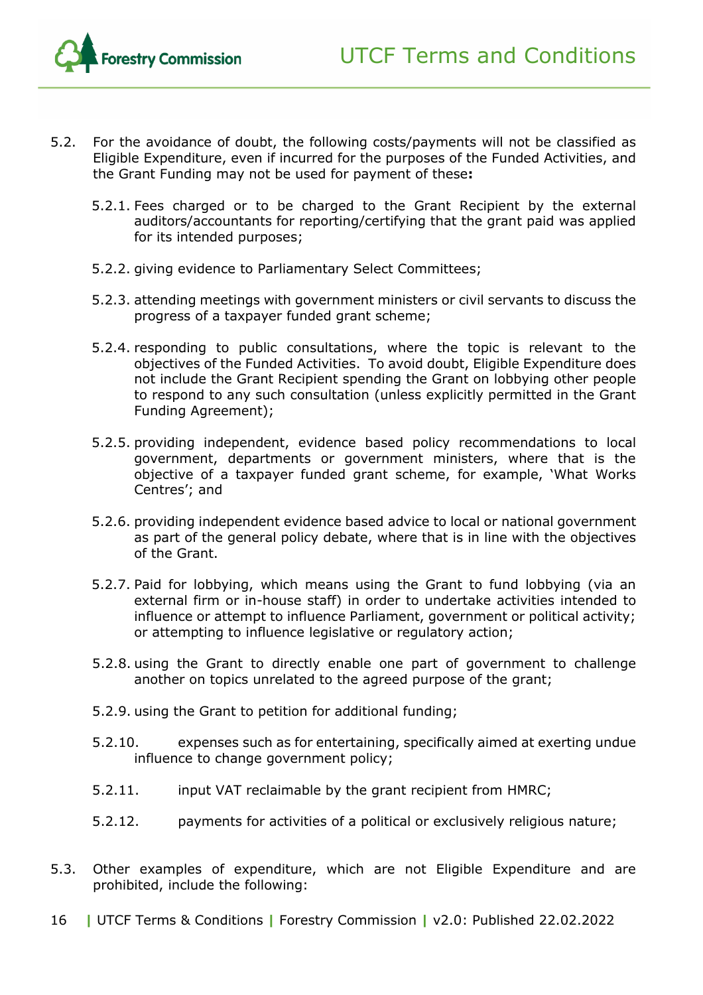

- 5.2. For the avoidance of doubt, the following costs/payments will not be classified as Eligible Expenditure, even if incurred for the purposes of the Funded Activities, and the Grant Funding may not be used for payment of these**:**
	- 5.2.1. Fees charged or to be charged to the Grant Recipient by the external auditors/accountants for reporting/certifying that the grant paid was applied for its intended purposes;
	- 5.2.2. giving evidence to Parliamentary Select Committees;
	- 5.2.3. attending meetings with government ministers or civil servants to discuss the progress of a taxpayer funded grant scheme;
	- 5.2.4. responding to public consultations, where the topic is relevant to the objectives of the Funded Activities. To avoid doubt, Eligible Expenditure does not include the Grant Recipient spending the Grant on lobbying other people to respond to any such consultation (unless explicitly permitted in the Grant Funding Agreement);
	- 5.2.5. providing independent, evidence based policy recommendations to local government, departments or government ministers, where that is the objective of a taxpayer funded grant scheme, for example, 'What Works Centres'; and
	- 5.2.6. providing independent evidence based advice to local or national government as part of the general policy debate, where that is in line with the objectives of the Grant.
	- 5.2.7. Paid for lobbying, which means using the Grant to fund lobbying (via an external firm or in-house staff) in order to undertake activities intended to influence or attempt to influence Parliament, government or political activity; or attempting to influence legislative or regulatory action;
	- 5.2.8. using the Grant to directly enable one part of government to challenge another on topics unrelated to the agreed purpose of the grant;
	- 5.2.9. using the Grant to petition for additional funding;
	- 5.2.10. expenses such as for entertaining, specifically aimed at exerting undue influence to change government policy;
	- 5.2.11. input VAT reclaimable by the grant recipient from HMRC;
	- 5.2.12. payments for activities of a political or exclusively religious nature;
- 5.3. Other examples of expenditure, which are not Eligible Expenditure and are prohibited, include the following:
- 16 **|** UTCF Terms & Conditions **|** Forestry Commission **|** v2.0: Published 22.02.2022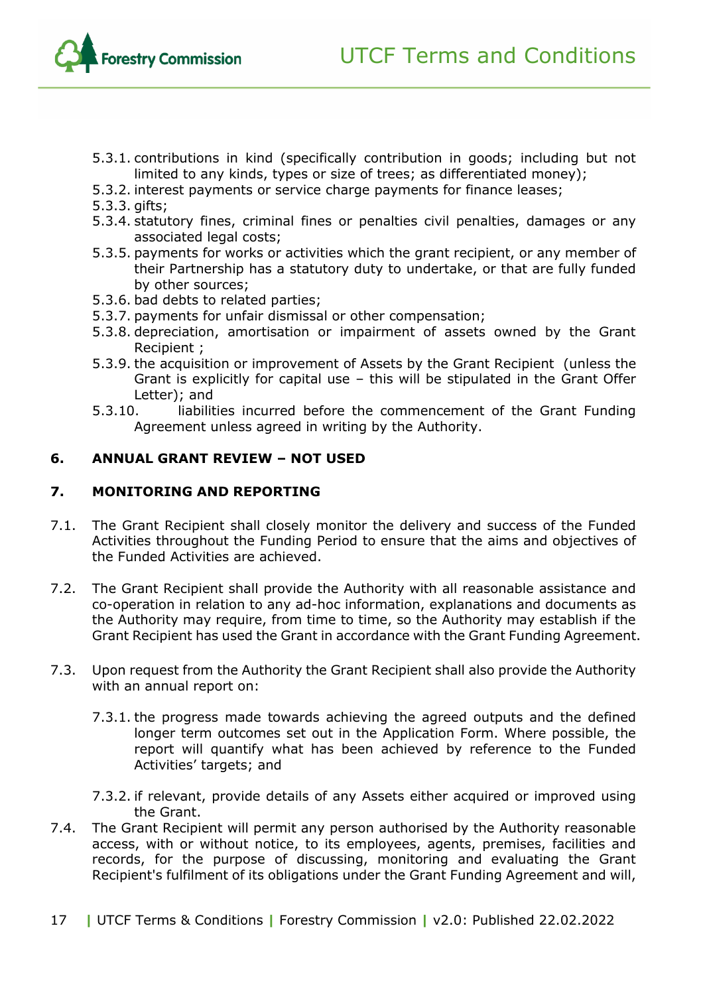

- 5.3.1. contributions in kind (specifically contribution in goods; including but not limited to any kinds, types or size of trees; as differentiated money);
- 5.3.2. interest payments or service charge payments for finance leases;
- 5.3.3. gifts;
- 5.3.4. statutory fines, criminal fines or penalties civil penalties, damages or any associated legal costs;
- 5.3.5. payments for works or activities which the grant recipient, or any member of their Partnership has a statutory duty to undertake, or that are fully funded by other sources;
- 5.3.6. bad debts to related parties;
- 5.3.7. payments for unfair dismissal or other compensation;
- 5.3.8. depreciation, amortisation or impairment of assets owned by the Grant Recipient ;
- 5.3.9. the acquisition or improvement of Assets by the Grant Recipient (unless the Grant is explicitly for capital use – this will be stipulated in the Grant Offer Letter); and
- 5.3.10. liabilities incurred before the commencement of the Grant Funding Agreement unless agreed in writing by the Authority.

#### <span id="page-16-0"></span>**6. ANNUAL GRANT REVIEW – NOT USED**

#### <span id="page-16-1"></span>**7. MONITORING AND REPORTING**

- 7.1. The Grant Recipient shall closely monitor the delivery and success of the Funded Activities throughout the Funding Period to ensure that the aims and objectives of the Funded Activities are achieved.
- <span id="page-16-2"></span>7.2. The Grant Recipient shall provide the Authority with all reasonable assistance and co-operation in relation to any ad-hoc information, explanations and documents as the Authority may require, from time to time, so the Authority may establish if the Grant Recipient has used the Grant in accordance with the Grant Funding Agreement.
- 7.3. Upon request from the Authority the Grant Recipient shall also provide the Authority with an annual report on:
	- 7.3.1. the progress made towards achieving the agreed outputs and the defined longer term outcomes set out in the Application Form. Where possible, the report will quantify what has been achieved by reference to the Funded Activities' targets; and
	- 7.3.2. if relevant, provide details of any Assets either acquired or improved using the Grant.
- 7.4. The Grant Recipient will permit any person authorised by the Authority reasonable access, with or without notice, to its employees, agents, premises, facilities and records, for the purpose of discussing, monitoring and evaluating the Grant Recipient's fulfilment of its obligations under the Grant Funding Agreement and will,
- 17 **|** UTCF Terms & Conditions **|** Forestry Commission **|** v2.0: Published 22.02.2022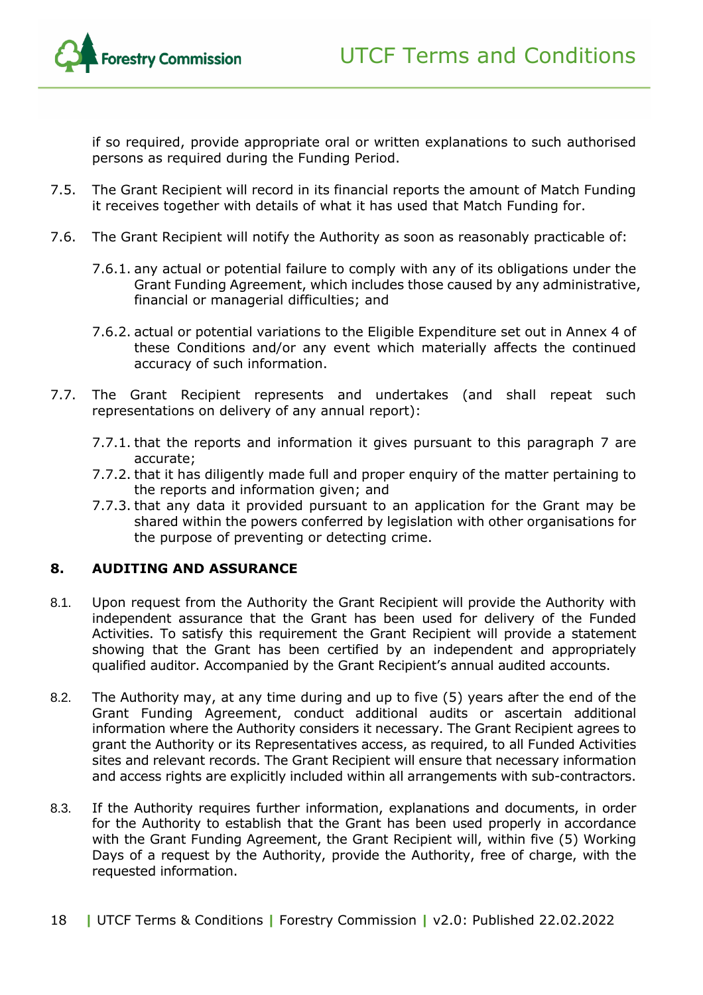if so required, provide appropriate oral or written explanations to such authorised persons as required during the Funding Period.

- 7.5. The Grant Recipient will record in its financial reports the amount of Match Funding it receives together with details of what it has used that Match Funding for.
- 7.6. The Grant Recipient will notify the Authority as soon as reasonably practicable of:
	- 7.6.1. any actual or potential failure to comply with any of its obligations under the Grant Funding Agreement, which includes those caused by any administrative, financial or managerial difficulties; and
	- 7.6.2. actual or potential variations to the Eligible Expenditure set out in Annex 4 of these Conditions and/or any event which materially affects the continued accuracy of such information.
- 7.7. The Grant Recipient represents and undertakes (and shall repeat such representations on delivery of any annual report):
	- 7.7.1. that the reports and information it gives pursuant to this paragraph [7](#page-16-1) are accurate;
	- 7.7.2. that it has diligently made full and proper enquiry of the matter pertaining to the reports and information given; and
	- 7.7.3. that any data it provided pursuant to an application for the Grant may be shared within the powers conferred by legislation with other organisations for the purpose of preventing or detecting crime.

#### <span id="page-17-0"></span>**8. AUDITING AND ASSURANCE**

- 8.1. Upon request from the Authority the Grant Recipient will provide the Authority with independent assurance that the Grant has been used for delivery of the Funded Activities. To satisfy this requirement the Grant Recipient will provide a statement showing that the Grant has been certified by an independent and appropriately qualified auditor. Accompanied by the Grant Recipient's annual audited accounts.
- 8.2. The Authority may, at any time during and up to five (5) years after the end of the Grant Funding Agreement, conduct additional audits or ascertain additional information where the Authority considers it necessary. The Grant Recipient agrees to grant the Authority or its Representatives access, as required, to all Funded Activities sites and relevant records. The Grant Recipient will ensure that necessary information and access rights are explicitly included within all arrangements with sub-contractors.
- 8.3. If the Authority requires further information, explanations and documents, in order for the Authority to establish that the Grant has been used properly in accordance with the Grant Funding Agreement, the Grant Recipient will, within five (5) Working Days of a request by the Authority, provide the Authority, free of charge, with the requested information.
- 18 **|** UTCF Terms & Conditions **|** Forestry Commission **|** v2.0: Published 22.02.2022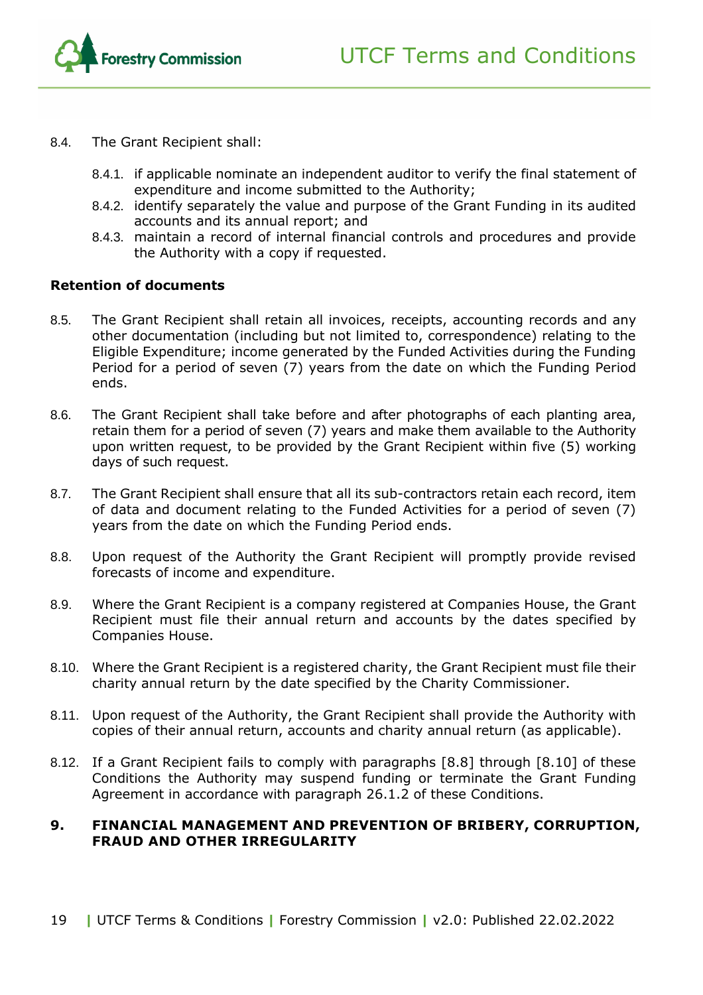

- 8.4. The Grant Recipient shall:
	- 8.4.1. if applicable nominate an independent auditor to verify the final statement of expenditure and income submitted to the Authority;
	- 8.4.2. identify separately the value and purpose of the Grant Funding in its audited accounts and its annual report; and
	- 8.4.3. maintain a record of internal financial controls and procedures and provide the Authority with a copy if requested.

#### **Retention of documents**

- 8.5. The Grant Recipient shall retain all invoices, receipts, accounting records and any other documentation (including but not limited to, correspondence) relating to the Eligible Expenditure; income generated by the Funded Activities during the Funding Period for a period of seven (7) years from the date on which the Funding Period ends.
- 8.6. The Grant Recipient shall take before and after photographs of each planting area, retain them for a period of seven (7) years and make them available to the Authority upon written request, to be provided by the Grant Recipient within five (5) working days of such request.
- 8.7. The Grant Recipient shall ensure that all its sub-contractors retain each record, item of data and document relating to the Funded Activities for a period of seven (7) years from the date on which the Funding Period ends.
- 8.8. Upon request of the Authority the Grant Recipient will promptly provide revised forecasts of income and expenditure.
- 8.9. Where the Grant Recipient is a company registered at Companies House, the Grant Recipient must file their annual return and accounts by the dates specified by Companies House.
- 8.10. Where the Grant Recipient is a registered charity, the Grant Recipient must file their charity annual return by the date specified by the Charity Commissioner.
- 8.11. Upon request of the Authority, the Grant Recipient shall provide the Authority with copies of their annual return, accounts and charity annual return (as applicable).
- 8.12. If a Grant Recipient fails to comply with paragraphs [8.8] through [8.10] of these Conditions the Authority may suspend funding or terminate the Grant Funding Agreement in accordance with paragraph 26.1.2 of these Conditions.

#### <span id="page-18-0"></span>**9. FINANCIAL MANAGEMENT AND PREVENTION OF BRIBERY, CORRUPTION, FRAUD AND OTHER IRREGULARITY**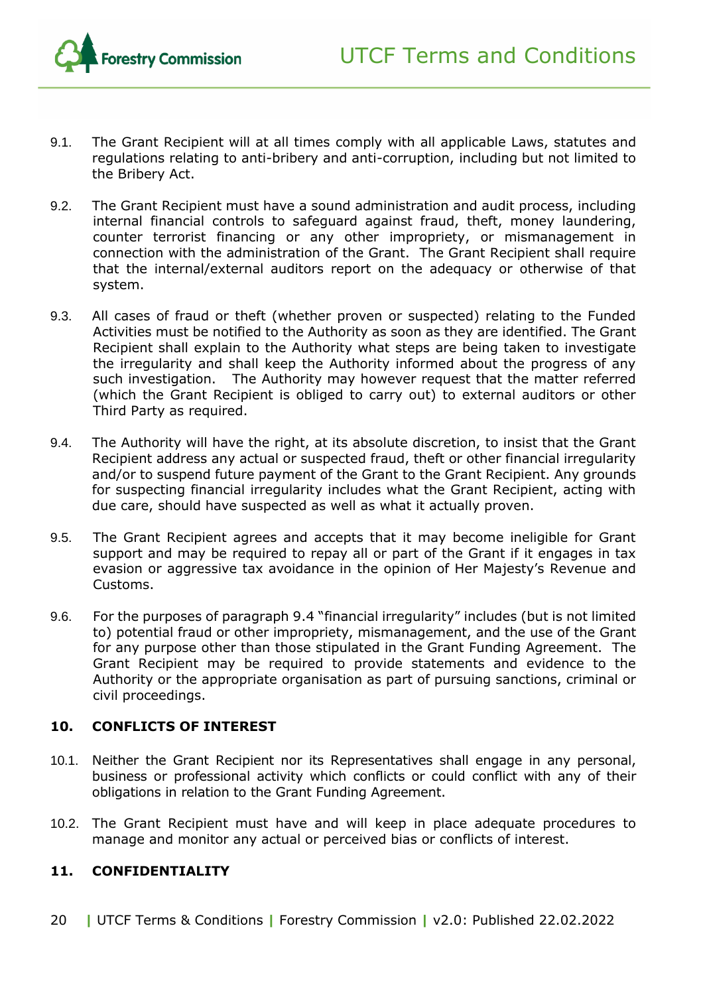

- 9.1. The Grant Recipient will at all times comply with all applicable Laws, statutes and regulations relating to anti-bribery and anti-corruption, including but not limited to the Bribery Act.
- 9.2. The Grant Recipient must have a sound administration and audit process, including internal financial controls to safeguard against fraud, theft, money laundering, counter terrorist financing or any other impropriety, or mismanagement in connection with the administration of the Grant. The Grant Recipient shall require that the internal/external auditors report on the adequacy or otherwise of that system.
- 9.3. All cases of fraud or theft (whether proven or suspected) relating to the Funded Activities must be notified to the Authority as soon as they are identified. The Grant Recipient shall explain to the Authority what steps are being taken to investigate the irregularity and shall keep the Authority informed about the progress of any such investigation. The Authority may however request that the matter referred (which the Grant Recipient is obliged to carry out) to external auditors or other Third Party as required.
- <span id="page-19-2"></span>9.4. The Authority will have the right, at its absolute discretion, to insist that the Grant Recipient address any actual or suspected fraud, theft or other financial irregularity and/or to suspend future payment of the Grant to the Grant Recipient. Any grounds for suspecting financial irregularity includes what the Grant Recipient, acting with due care, should have suspected as well as what it actually proven.
- 9.5. The Grant Recipient agrees and accepts that it may become ineligible for Grant support and may be required to repay all or part of the Grant if it engages in tax evasion or aggressive tax avoidance in the opinion of Her Majesty's Revenue and Customs.
- 9.6. For the purposes of paragraph [9.4](#page-19-2) "financial irregularity" includes (but is not limited to) potential fraud or other impropriety, mismanagement, and the use of the Grant for any purpose other than those stipulated in the Grant Funding Agreement. The Grant Recipient may be required to provide statements and evidence to the Authority or the appropriate organisation as part of pursuing sanctions, criminal or civil proceedings.

#### <span id="page-19-0"></span>**10. CONFLICTS OF INTEREST**

- 10.1. Neither the Grant Recipient nor its Representatives shall engage in any personal, business or professional activity which conflicts or could conflict with any of their obligations in relation to the Grant Funding Agreement.
- 10.2. The Grant Recipient must have and will keep in place adequate procedures to manage and monitor any actual or perceived bias or conflicts of interest.

#### <span id="page-19-1"></span>**11. CONFIDENTIALITY**

20 **|** UTCF Terms & Conditions **|** Forestry Commission **|** v2.0: Published 22.02.2022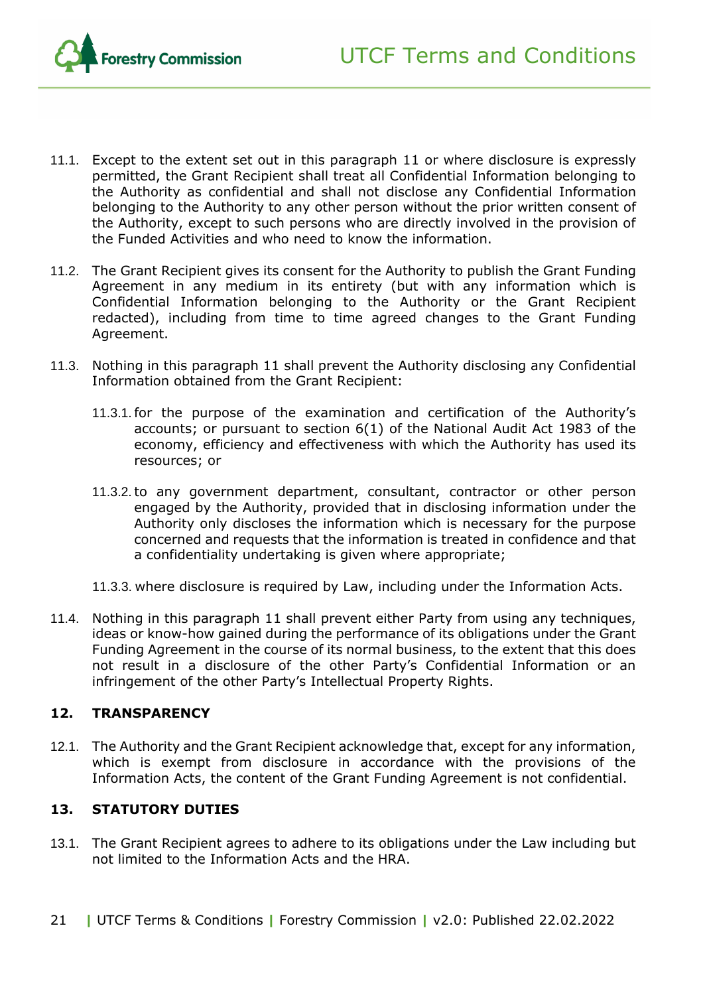

- 11.1. Except to the extent set out in this paragraph [11](#page-19-1) or where disclosure is expressly permitted, the Grant Recipient shall treat all Confidential Information belonging to the Authority as confidential and shall not disclose any Confidential Information belonging to the Authority to any other person without the prior written consent of the Authority, except to such persons who are directly involved in the provision of the Funded Activities and who need to know the information.
- 11.2. The Grant Recipient gives its consent for the Authority to publish the Grant Funding Agreement in any medium in its entirety (but with any information which is Confidential Information belonging to the Authority or the Grant Recipient redacted), including from time to time agreed changes to the Grant Funding Agreement.
- 11.3. Nothing in this paragraph [11](#page-19-1) shall prevent the Authority disclosing any Confidential Information obtained from the Grant Recipient:
	- 11.3.1.for the purpose of the examination and certification of the Authority's accounts; or pursuant to section 6(1) of the National Audit Act 1983 of the economy, efficiency and effectiveness with which the Authority has used its resources; or
	- 11.3.2.to any government department, consultant, contractor or other person engaged by the Authority, provided that in disclosing information under the Authority only discloses the information which is necessary for the purpose concerned and requests that the information is treated in confidence and that a confidentiality undertaking is given where appropriate;
	- 11.3.3. where disclosure is required by Law, including under the Information Acts.
- 11.4. Nothing in this paragraph [11](#page-19-1) shall prevent either Party from using any techniques, ideas or know-how gained during the performance of its obligations under the Grant Funding Agreement in the course of its normal business, to the extent that this does not result in a disclosure of the other Party's Confidential Information or an infringement of the other Party's Intellectual Property Rights.

#### <span id="page-20-0"></span>**12. TRANSPARENCY**

12.1. The Authority and the Grant Recipient acknowledge that, except for any information, which is exempt from disclosure in accordance with the provisions of the Information Acts, the content of the Grant Funding Agreement is not confidential.

#### <span id="page-20-1"></span>**13. STATUTORY DUTIES**

- 13.1. The Grant Recipient agrees to adhere to its obligations under the Law including but not limited to the Information Acts and the HRA.
- 21 **|** UTCF Terms & Conditions **|** Forestry Commission **|** v2.0: Published 22.02.2022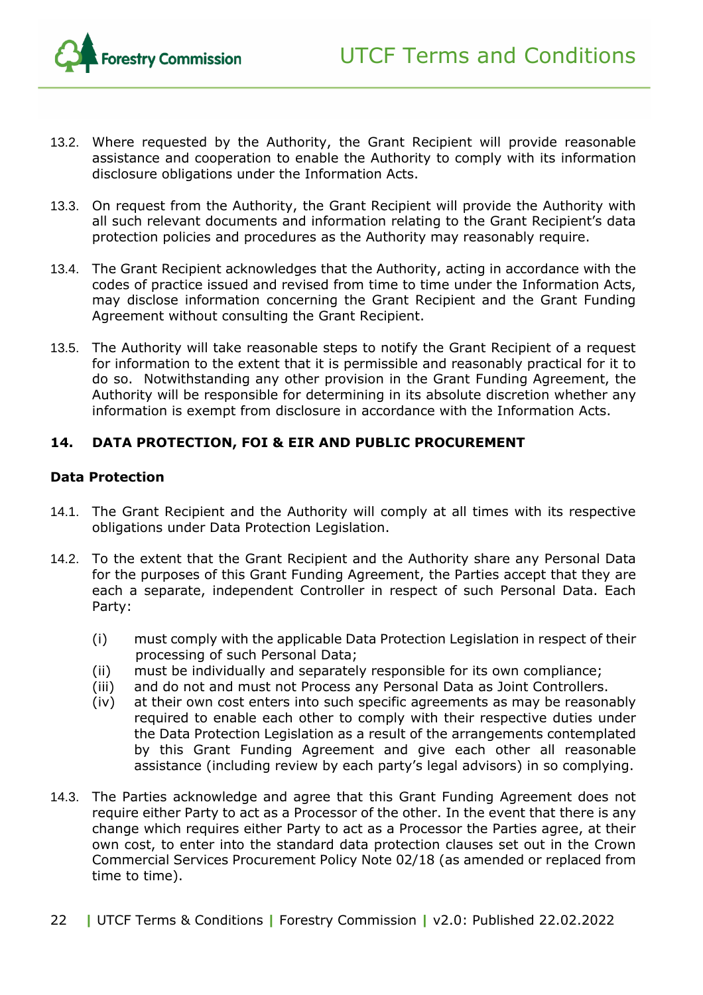

- 13.2. Where requested by the Authority, the Grant Recipient will provide reasonable assistance and cooperation to enable the Authority to comply with its information disclosure obligations under the Information Acts.
- 13.3. On request from the Authority, the Grant Recipient will provide the Authority with all such relevant documents and information relating to the Grant Recipient's data protection policies and procedures as the Authority may reasonably require.
- 13.4. The Grant Recipient acknowledges that the Authority, acting in accordance with the codes of practice issued and revised from time to time under the Information Acts, may disclose information concerning the Grant Recipient and the Grant Funding Agreement without consulting the Grant Recipient.
- 13.5. The Authority will take reasonable steps to notify the Grant Recipient of a request for information to the extent that it is permissible and reasonably practical for it to do so. Notwithstanding any other provision in the Grant Funding Agreement, the Authority will be responsible for determining in its absolute discretion whether any information is exempt from disclosure in accordance with the Information Acts.

#### <span id="page-21-0"></span>**14. DATA PROTECTION, FOI & EIR AND PUBLIC PROCUREMENT**

#### **Data Protection**

- 14.1. The Grant Recipient and the Authority will comply at all times with its respective obligations under Data Protection Legislation.
- 14.2. To the extent that the Grant Recipient and the Authority share any Personal Data for the purposes of this Grant Funding Agreement, the Parties accept that they are each a separate, independent Controller in respect of such Personal Data. Each Party:
	- (i) must comply with the applicable Data Protection Legislation in respect of their processing of such Personal Data;
	- (ii) must be individually and separately responsible for its own compliance;
	- (iii) and do not and must not Process any Personal Data as Joint Controllers.
	- (iv) at their own cost enters into such specific agreements as may be reasonably required to enable each other to comply with their respective duties under the Data Protection Legislation as a result of the arrangements contemplated by this Grant Funding Agreement and give each other all reasonable assistance (including review by each party's legal advisors) in so complying.
- 14.3. The Parties acknowledge and agree that this Grant Funding Agreement does not require either Party to act as a Processor of the other. In the event that there is any change which requires either Party to act as a Processor the Parties agree, at their own cost, to enter into the standard data protection clauses set out in the Crown Commercial Services Procurement Policy Note 02/18 (as amended or replaced from time to time).
- 22 **|** UTCF Terms & Conditions **|** Forestry Commission **|** v2.0: Published 22.02.2022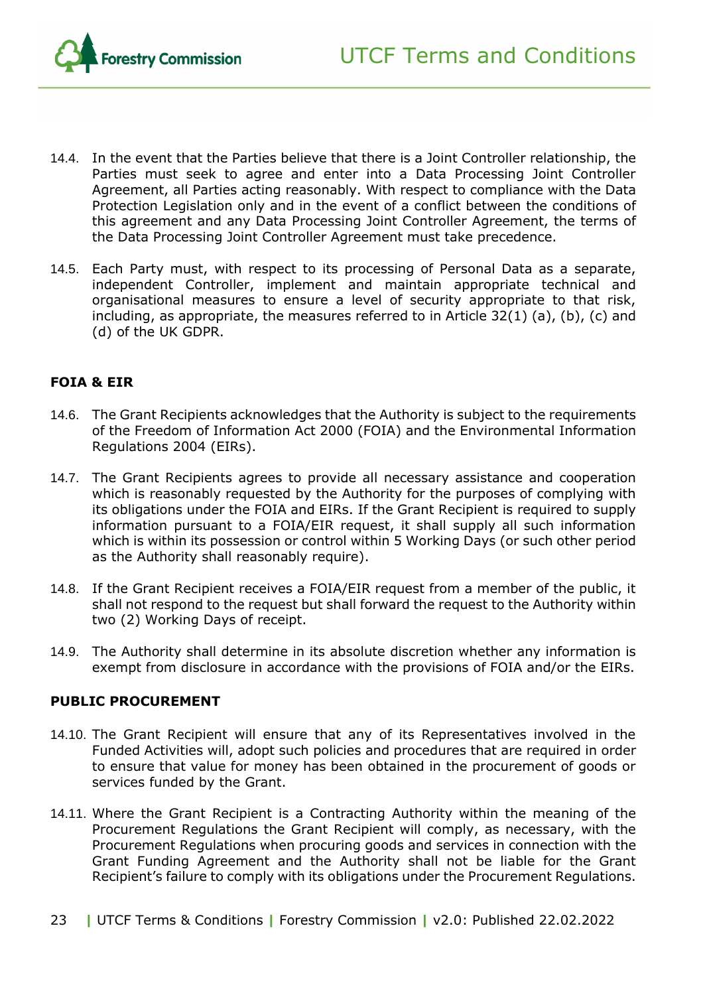- 14.4. In the event that the Parties believe that there is a Joint Controller relationship, the Parties must seek to agree and enter into a Data Processing Joint Controller Agreement, all Parties acting reasonably. With respect to compliance with the Data Protection Legislation only and in the event of a conflict between the conditions of this agreement and any Data Processing Joint Controller Agreement, the terms of the Data Processing Joint Controller Agreement must take precedence.
- 14.5. Each Party must, with respect to its processing of Personal Data as a separate, independent Controller, implement and maintain appropriate technical and organisational measures to ensure a level of security appropriate to that risk, including, as appropriate, the measures referred to in Article 32(1) (a), (b), (c) and (d) of the UK GDPR.

#### **FOIA & EIR**

- 14.6. The Grant Recipients acknowledges that the Authority is subject to the requirements of the Freedom of Information Act 2000 (FOIA) and the Environmental Information Regulations 2004 (EIRs).
- 14.7. The Grant Recipients agrees to provide all necessary assistance and cooperation which is reasonably requested by the Authority for the purposes of complying with its obligations under the FOIA and EIRs. If the Grant Recipient is required to supply information pursuant to a FOIA/EIR request, it shall supply all such information which is within its possession or control within 5 Working Days (or such other period as the Authority shall reasonably require).
- 14.8. If the Grant Recipient receives a FOIA/EIR request from a member of the public, it shall not respond to the request but shall forward the request to the Authority within two (2) Working Days of receipt.
- 14.9. The Authority shall determine in its absolute discretion whether any information is exempt from disclosure in accordance with the provisions of FOIA and/or the EIRs.

#### **PUBLIC PROCUREMENT**

- 14.10. The Grant Recipient will ensure that any of its Representatives involved in the Funded Activities will, adopt such policies and procedures that are required in order to ensure that value for money has been obtained in the procurement of goods or services funded by the Grant.
- 14.11. Where the Grant Recipient is a Contracting Authority within the meaning of the Procurement Regulations the Grant Recipient will comply, as necessary, with the Procurement Regulations when procuring goods and services in connection with the Grant Funding Agreement and the Authority shall not be liable for the Grant Recipient's failure to comply with its obligations under the Procurement Regulations.
- 23 **|** UTCF Terms & Conditions **|** Forestry Commission **|** v2.0: Published 22.02.2022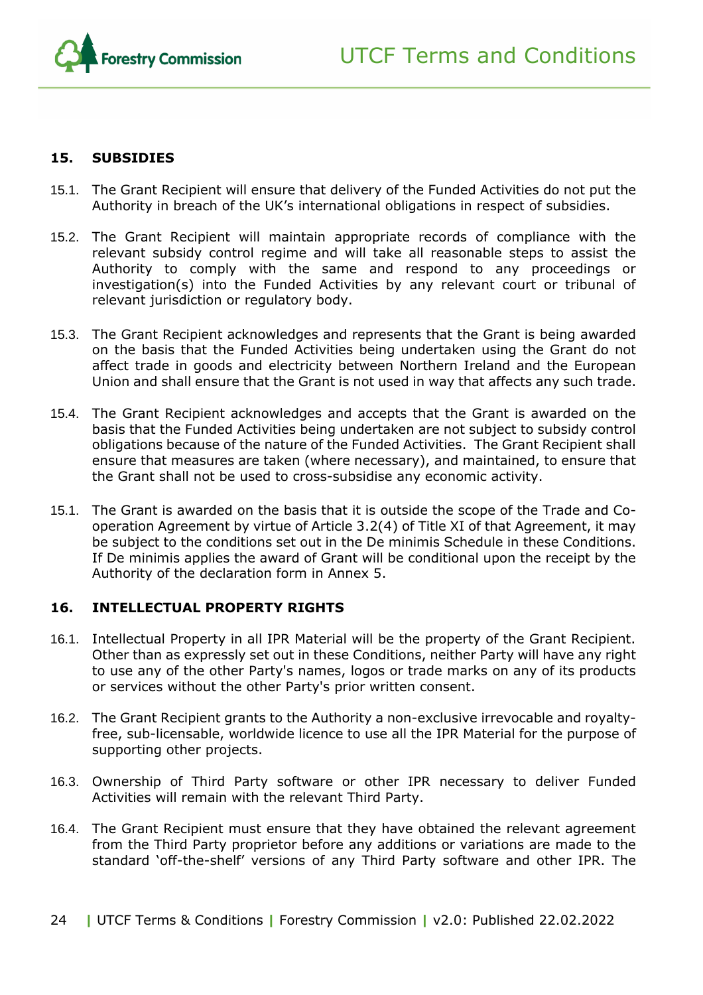

#### <span id="page-23-0"></span>**15. SUBSIDIES**

- 15.1. The Grant Recipient will ensure that delivery of the Funded Activities do not put the Authority in breach of the UK's international obligations in respect of subsidies.
- 15.2. The Grant Recipient will maintain appropriate records of compliance with the relevant subsidy control regime and will take all reasonable steps to assist the Authority to comply with the same and respond to any proceedings or investigation(s) into the Funded Activities by any relevant court or tribunal of relevant jurisdiction or regulatory body.
- 15.3. The Grant Recipient acknowledges and represents that the Grant is being awarded on the basis that the Funded Activities being undertaken using the Grant do not affect trade in goods and electricity between Northern Ireland and the European Union and shall ensure that the Grant is not used in way that affects any such trade.
- 15.4. The Grant Recipient acknowledges and accepts that the Grant is awarded on the basis that the Funded Activities being undertaken are not subject to subsidy control obligations because of the nature of the Funded Activities. The Grant Recipient shall ensure that measures are taken (where necessary), and maintained, to ensure that the Grant shall not be used to cross-subsidise any economic activity.
- 15.1. The Grant is awarded on the basis that it is outside the scope of the Trade and Cooperation Agreement by virtue of Article 3.2(4) of Title XI of that Agreement, it may be subject to the conditions set out in the De minimis Schedule in these Conditions. If De minimis applies the award of Grant will be conditional upon the receipt by the Authority of the declaration form in Annex 5.

#### <span id="page-23-1"></span>**16. INTELLECTUAL PROPERTY RIGHTS**

- 16.1. Intellectual Property in all IPR Material will be the property of the Grant Recipient. Other than as expressly set out in these Conditions, neither Party will have any right to use any of the other Party's names, logos or trade marks on any of its products or services without the other Party's prior written consent.
- 16.2. The Grant Recipient grants to the Authority a non-exclusive irrevocable and royaltyfree, sub-licensable, worldwide licence to use all the IPR Material for the purpose of supporting other projects.
- 16.3. Ownership of Third Party software or other IPR necessary to deliver Funded Activities will remain with the relevant Third Party.
- 16.4. The Grant Recipient must ensure that they have obtained the relevant agreement from the Third Party proprietor before any additions or variations are made to the standard 'off-the-shelf' versions of any Third Party software and other IPR. The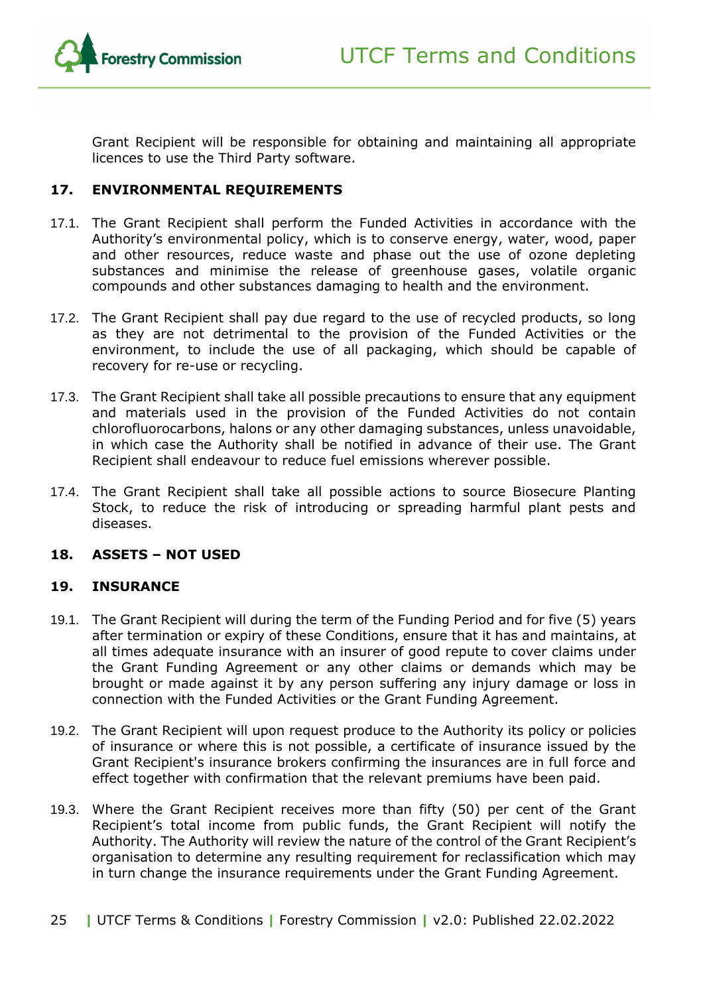

Grant Recipient will be responsible for obtaining and maintaining all appropriate licences to use the Third Party software.

#### <span id="page-24-0"></span>**17. ENVIRONMENTAL REQUIREMENTS**

- 17.1. The Grant Recipient shall perform the Funded Activities in accordance with the Authority's environmental policy, which is to conserve energy, water, wood, paper and other resources, reduce waste and phase out the use of ozone depleting substances and minimise the release of greenhouse gases, volatile organic compounds and other substances damaging to health and the environment.
- 17.2. The Grant Recipient shall pay due regard to the use of recycled products, so long as they are not detrimental to the provision of the Funded Activities or the environment, to include the use of all packaging, which should be capable of recovery for re-use or recycling.
- 17.3. The Grant Recipient shall take all possible precautions to ensure that any equipment and materials used in the provision of the Funded Activities do not contain chlorofluorocarbons, halons or any other damaging substances, unless unavoidable, in which case the Authority shall be notified in advance of their use. The Grant Recipient shall endeavour to reduce fuel emissions wherever possible.
- 17.4. The Grant Recipient shall take all possible actions to source Biosecure Planting Stock, to reduce the risk of introducing or spreading harmful plant pests and diseases.

#### <span id="page-24-1"></span>**18. ASSETS – NOT USED**

#### <span id="page-24-2"></span>**19. INSURANCE**

- 19.1. The Grant Recipient will during the term of the Funding Period and for five (5) years after termination or expiry of these Conditions, ensure that it has and maintains, at all times adequate insurance with an insurer of good repute to cover claims under the Grant Funding Agreement or any other claims or demands which may be brought or made against it by any person suffering any injury damage or loss in connection with the Funded Activities or the Grant Funding Agreement.
- 19.2. The Grant Recipient will upon request produce to the Authority its policy or policies of insurance or where this is not possible, a certificate of insurance issued by the Grant Recipient's insurance brokers confirming the insurances are in full force and effect together with confirmation that the relevant premiums have been paid.
- 19.3. Where the Grant Recipient receives more than fifty (50) per cent of the Grant Recipient's total income from public funds, the Grant Recipient will notify the Authority. The Authority will review the nature of the control of the Grant Recipient's organisation to determine any resulting requirement for reclassification which may in turn change the insurance requirements under the Grant Funding Agreement.
- 25 **|** UTCF Terms & Conditions **|** Forestry Commission **|** v2.0: Published 22.02.2022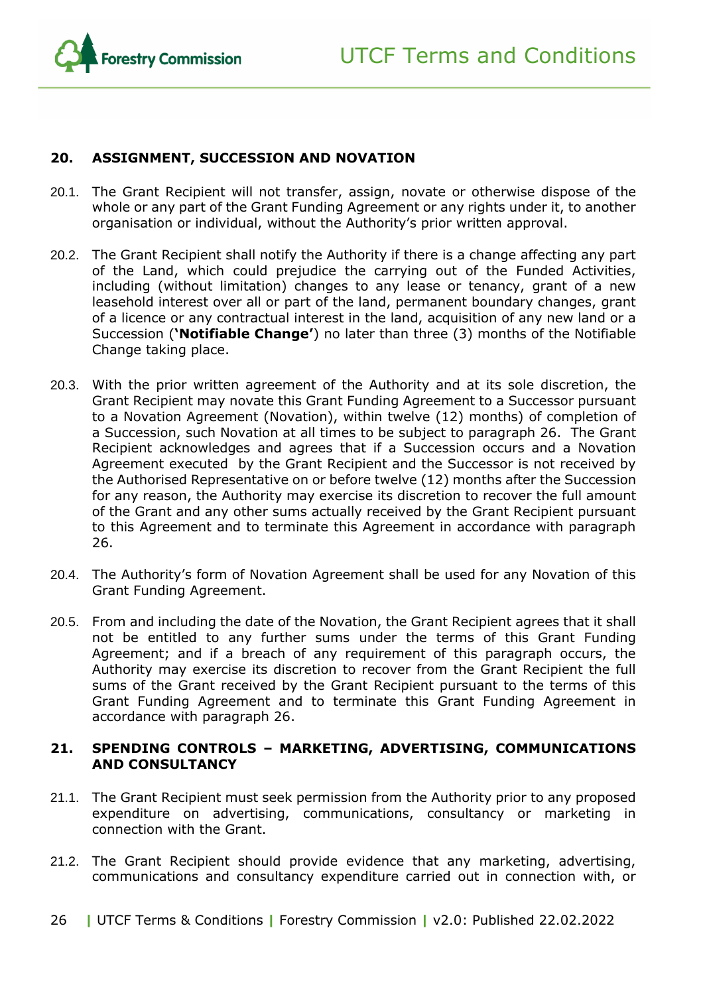

#### <span id="page-25-0"></span>**20. ASSIGNMENT, SUCCESSION AND NOVATION**

- 20.1. The Grant Recipient will not transfer, assign, novate or otherwise dispose of the whole or any part of the Grant Funding Agreement or any rights under it, to another organisation or individual, without the Authority's prior written approval.
- 20.2. The Grant Recipient shall notify the Authority if there is a change affecting any part of the Land, which could prejudice the carrying out of the Funded Activities, including (without limitation) changes to any lease or tenancy, grant of a new leasehold interest over all or part of the land, permanent boundary changes, grant of a licence or any contractual interest in the land, acquisition of any new land or a Succession (**'Notifiable Change'**) no later than three (3) months of the Notifiable Change taking place.
- 20.3. With the prior written agreement of the Authority and at its sole discretion, the Grant Recipient may novate this Grant Funding Agreement to a Successor pursuant to a Novation Agreement (Novation), within twelve (12) months) of completion of a Succession, such Novation at all times to be subject to paragraph 26. The Grant Recipient acknowledges and agrees that if a Succession occurs and a Novation Agreement executed by the Grant Recipient and the Successor is not received by the Authorised Representative on or before twelve (12) months after the Succession for any reason, the Authority may exercise its discretion to recover the full amount of the Grant and any other sums actually received by the Grant Recipient pursuant to this Agreement and to terminate this Agreement in accordance with paragraph 26.
- 20.4. The Authority's form of Novation Agreement shall be used for any Novation of this Grant Funding Agreement.
- 20.5. From and including the date of the Novation, the Grant Recipient agrees that it shall not be entitled to any further sums under the terms of this Grant Funding Agreement; and if a breach of any requirement of this paragraph occurs, the Authority may exercise its discretion to recover from the Grant Recipient the full sums of the Grant received by the Grant Recipient pursuant to the terms of this Grant Funding Agreement and to terminate this Grant Funding Agreement in accordance with paragraph 26.

#### <span id="page-25-1"></span>**21. SPENDING CONTROLS – MARKETING, ADVERTISING, COMMUNICATIONS AND CONSULTANCY**

- 21.1. The Grant Recipient must seek permission from the Authority prior to any proposed expenditure on advertising, communications, consultancy or marketing in connection with the Grant.
- 21.2. The Grant Recipient should provide evidence that any marketing, advertising, communications and consultancy expenditure carried out in connection with, or
- 26 **|** UTCF Terms & Conditions **|** Forestry Commission **|** v2.0: Published 22.02.2022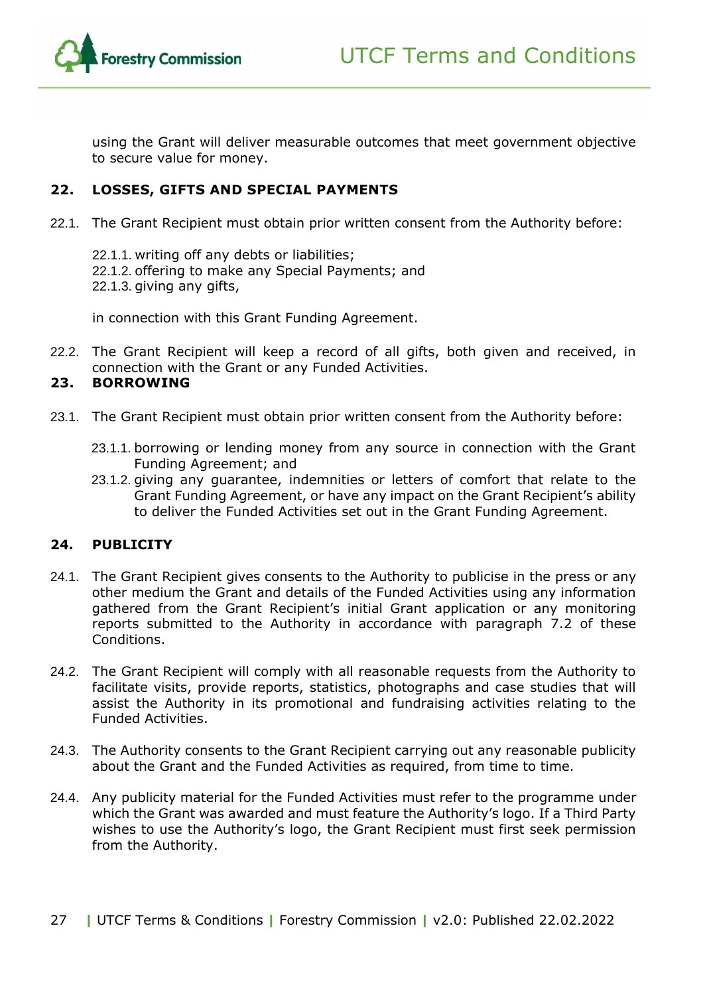

using the Grant will deliver measurable outcomes that meet government objective to secure value for money.

#### <span id="page-26-0"></span>**22. LOSSES, GIFTS AND SPECIAL PAYMENTS**

- 22.1. The Grant Recipient must obtain prior written consent from the Authority before:
	- 22.1.1. writing off any debts or liabilities; 22.1.2. offering to make any Special Payments; and 22.1.3. giving any gifts,

in connection with this Grant Funding Agreement.

22.2. The Grant Recipient will keep a record of all gifts, both given and received, in connection with the Grant or any Funded Activities.

#### <span id="page-26-1"></span>**23. BORROWING**

- 23.1. The Grant Recipient must obtain prior written consent from the Authority before:
	- 23.1.1. borrowing or lending money from any source in connection with the Grant Funding Agreement; and
	- 23.1.2. giving any guarantee, indemnities or letters of comfort that relate to the Grant Funding Agreement, or have any impact on the Grant Recipient's ability to deliver the Funded Activities set out in the Grant Funding Agreement.

#### <span id="page-26-2"></span>**24. PUBLICITY**

- 24.1. The Grant Recipient gives consents to the Authority to publicise in the press or any other medium the Grant and details of the Funded Activities using any information gathered from the Grant Recipient's initial Grant application or any monitoring reports submitted to the Authority in accordance with paragraph [7.2](#page-16-2) of these Conditions.
- 24.2. The Grant Recipient will comply with all reasonable requests from the Authority to facilitate visits, provide reports, statistics, photographs and case studies that will assist the Authority in its promotional and fundraising activities relating to the Funded Activities.
- 24.3. The Authority consents to the Grant Recipient carrying out any reasonable publicity about the Grant and the Funded Activities as required, from time to time.
- 24.4. Any publicity material for the Funded Activities must refer to the programme under which the Grant was awarded and must feature the Authority's logo. If a Third Party wishes to use the Authority's logo, the Grant Recipient must first seek permission from the Authority.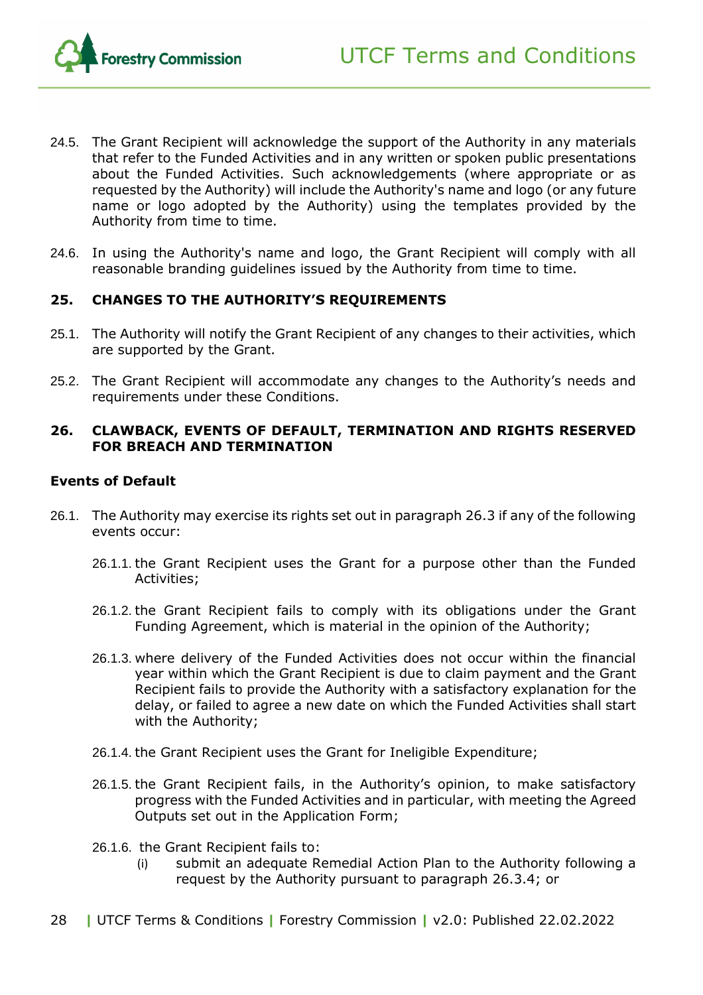

- 24.5. The Grant Recipient will acknowledge the support of the Authority in any materials that refer to the Funded Activities and in any written or spoken public presentations about the Funded Activities. Such acknowledgements (where appropriate or as requested by the Authority) will include the Authority's name and logo (or any future name or logo adopted by the Authority) using the templates provided by the Authority from time to time.
- 24.6. In using the Authority's name and logo, the Grant Recipient will comply with all reasonable branding guidelines issued by the Authority from time to time.

#### <span id="page-27-0"></span>**25. CHANGES TO THE AUTHORITY'S REQUIREMENTS**

- 25.1. The Authority will notify the Grant Recipient of any changes to their activities, which are supported by the Grant.
- 25.2. The Grant Recipient will accommodate any changes to the Authority's needs and requirements under these Conditions.

#### <span id="page-27-1"></span>**26. CLAWBACK, EVENTS OF DEFAULT, TERMINATION AND RIGHTS RESERVED FOR BREACH AND TERMINATION**

#### **Events of Default**

- <span id="page-27-2"></span>26.1. The Authority may exercise its rights set out in paragraph 26.3 if any of the following events occur:
	- 26.1.1. the Grant Recipient uses the Grant for a purpose other than the Funded Activities;
	- 26.1.2. the Grant Recipient fails to comply with its obligations under the Grant Funding Agreement, which is material in the opinion of the Authority;
	- 26.1.3. where delivery of the Funded Activities does not occur within the financial year within which the Grant Recipient is due to claim payment and the Grant Recipient fails to provide the Authority with a satisfactory explanation for the delay, or failed to agree a new date on which the Funded Activities shall start with the Authority;
	- 26.1.4. the Grant Recipient uses the Grant for Ineligible Expenditure;
	- 26.1.5. the Grant Recipient fails, in the Authority's opinion, to make satisfactory progress with the Funded Activities and in particular, with meeting the Agreed Outputs set out in the Application Form;
	- 26.1.6. the Grant Recipient fails to:
		- (i) submit an adequate Remedial Action Plan to the Authority following a request by the Authority pursuant to paragraph [26.3.4;](#page-30-1) or
- 28 **|** UTCF Terms & Conditions **|** Forestry Commission **|** v2.0: Published 22.02.2022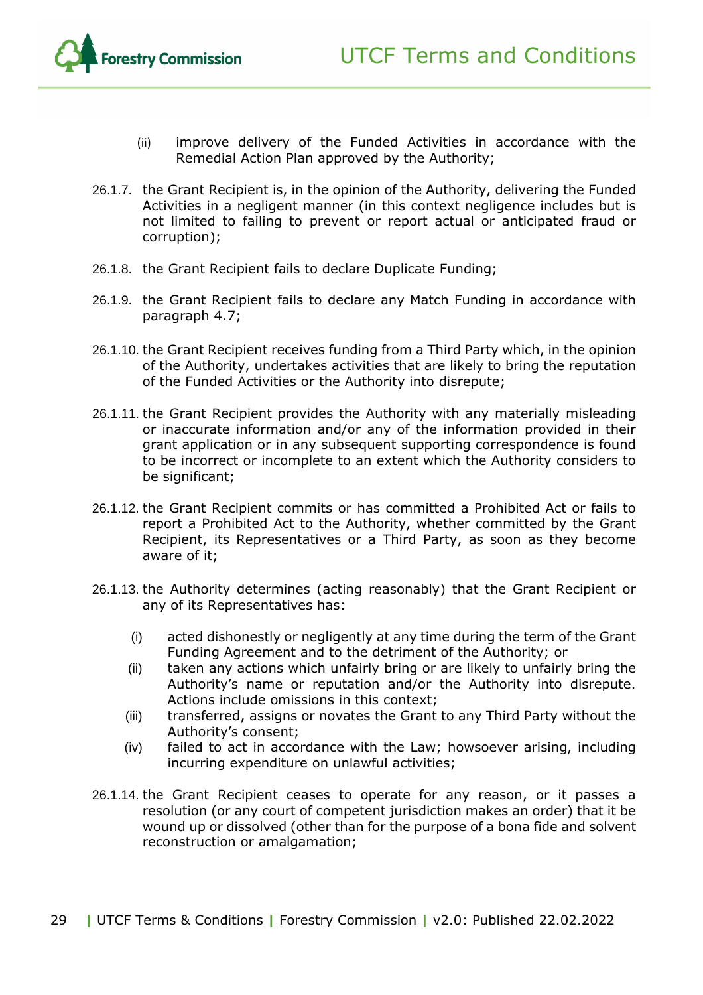

- (ii) improve delivery of the Funded Activities in accordance with the Remedial Action Plan approved by the Authority;
- 26.1.7. the Grant Recipient is, in the opinion of the Authority, delivering the Funded Activities in a negligent manner (in this context negligence includes but is not limited to failing to prevent or report actual or anticipated fraud or corruption);
- 26.1.8. the Grant Recipient fails to declare Duplicate Funding;
- <span id="page-28-0"></span>26.1.9. the Grant Recipient fails to declare any Match Funding in accordance with paragraph [4.7;](#page-13-1)
- 26.1.10. the Grant Recipient receives funding from a Third Party which, in the opinion of the Authority, undertakes activities that are likely to bring the reputation of the Funded Activities or the Authority into disrepute;
- 26.1.11. the Grant Recipient provides the Authority with any materially misleading or inaccurate information and/or any of the information provided in their grant application or in any subsequent supporting correspondence is found to be incorrect or incomplete to an extent which the Authority considers to be significant;
- 26.1.12. the Grant Recipient commits or has committed a Prohibited Act or fails to report a Prohibited Act to the Authority, whether committed by the Grant Recipient, its Representatives or a Third Party, as soon as they become aware of it;
- 26.1.13. the Authority determines (acting reasonably) that the Grant Recipient or any of its Representatives has:
	- (i) acted dishonestly or negligently at any time during the term of the Grant Funding Agreement and to the detriment of the Authority; or
	- (ii) taken any actions which unfairly bring or are likely to unfairly bring the Authority's name or reputation and/or the Authority into disrepute. Actions include omissions in this context;
	- (iii) transferred, assigns or novates the Grant to any Third Party without the Authority's consent;
	- (iv) failed to act in accordance with the Law; howsoever arising, including incurring expenditure on unlawful activities;
- 26.1.14. the Grant Recipient ceases to operate for any reason, or it passes a resolution (or any court of competent jurisdiction makes an order) that it be wound up or dissolved (other than for the purpose of a bona fide and solvent reconstruction or amalgamation;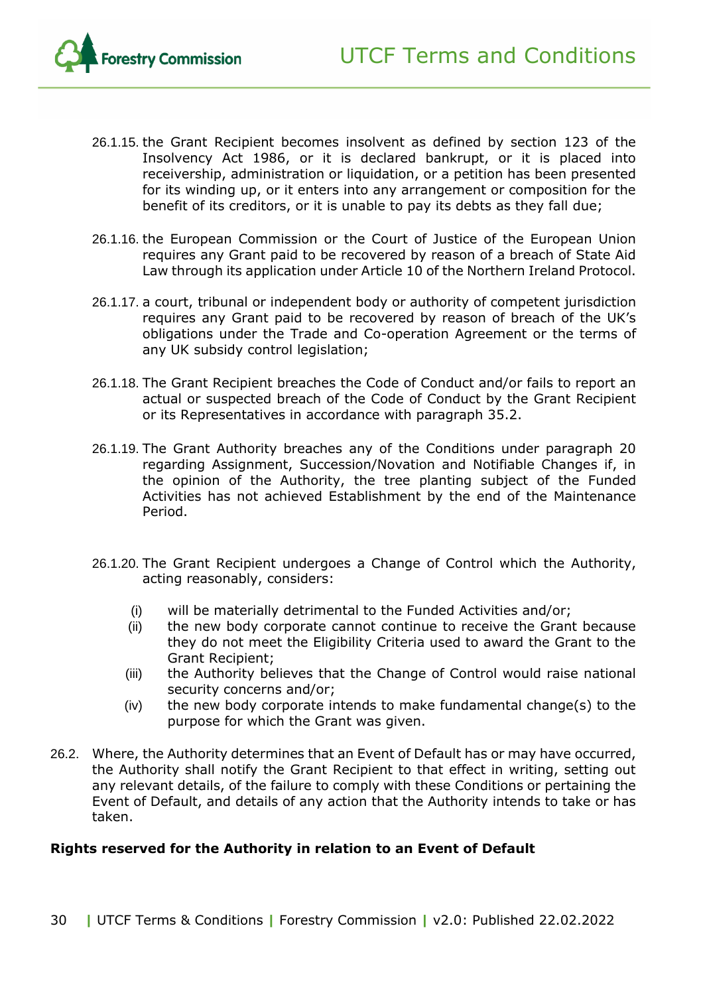

- 26.1.15. the Grant Recipient becomes insolvent as defined by section 123 of the Insolvency Act 1986, or it is declared bankrupt, or it is placed into receivership, administration or liquidation, or a petition has been presented for its winding up, or it enters into any arrangement or composition for the benefit of its creditors, or it is unable to pay its debts as they fall due;
- 26.1.16. the European Commission or the Court of Justice of the European Union requires any Grant paid to be recovered by reason of a breach of State Aid Law through its application under Article 10 of the Northern Ireland Protocol.
- 26.1.17. a court, tribunal or independent body or authority of competent jurisdiction requires any Grant paid to be recovered by reason of breach of the UK's obligations under the Trade and Co-operation Agreement or the terms of any UK subsidy control legislation;
- 26.1.18. The Grant Recipient breaches the Code of Conduct and/or fails to report an actual or suspected breach of the Code of Conduct by the Grant Recipient or its Representatives in accordance with paragraph [35.2.](#page-35-2)
- 26.1.19. The Grant Authority breaches any of the Conditions under paragraph 20 regarding Assignment, Succession/Novation and Notifiable Changes if, in the opinion of the Authority, the tree planting subject of the Funded Activities has not achieved Establishment by the end of the Maintenance Period.
- 26.1.20. The Grant Recipient undergoes a Change of Control which the Authority, acting reasonably, considers:
	- (i) will be materially detrimental to the Funded Activities and/or;
	- (ii) the new body corporate cannot continue to receive the Grant because they do not meet the Eligibility Criteria used to award the Grant to the Grant Recipient;
	- (iii) the Authority believes that the Change of Control would raise national security concerns and/or;
	- (iv) the new body corporate intends to make fundamental change(s) to the purpose for which the Grant was given.
- 26.2. Where, the Authority determines that an Event of Default has or may have occurred, the Authority shall notify the Grant Recipient to that effect in writing, setting out any relevant details, of the failure to comply with these Conditions or pertaining the Event of Default, and details of any action that the Authority intends to take or has taken.

#### **Rights reserved for the Authority in relation to an Event of Default**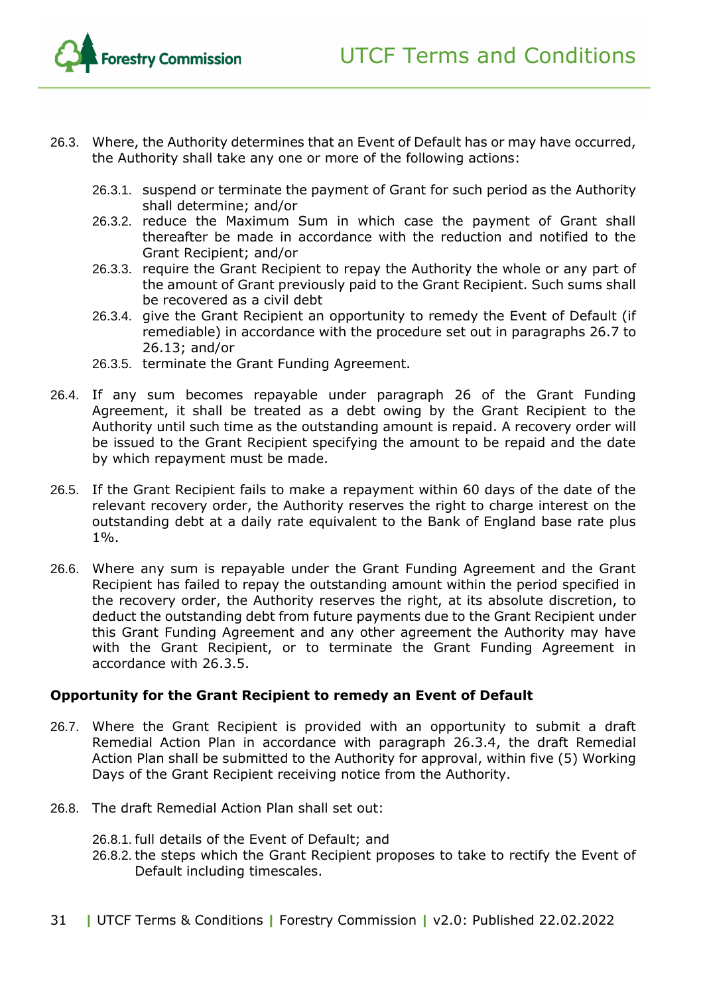- 26.3. Where, the Authority determines that an Event of Default has or may have occurred, the Authority shall take any one or more of the following actions:
	- 26.3.1. suspend or terminate the payment of Grant for such period as the Authority shall determine; and/or
	- 26.3.2. reduce the Maximum Sum in which case the payment of Grant shall thereafter be made in accordance with the reduction and notified to the Grant Recipient; and/or
	- 26.3.3. require the Grant Recipient to repay the Authority the whole or any part of the amount of Grant previously paid to the Grant Recipient. Such sums shall be recovered as a civil debt
	- 26.3.4. give the Grant Recipient an opportunity to remedy the Event of Default (if remediable) in accordance with the procedure set out in paragraphs [26.7](#page-30-0) to [26.13;](#page-31-0) and/or
	- 26.3.5. terminate the Grant Funding Agreement.
- <span id="page-30-2"></span><span id="page-30-1"></span>26.4. If any sum becomes repayable under paragraph 26 of the Grant Funding Agreement, it shall be treated as a debt owing by the Grant Recipient to the Authority until such time as the outstanding amount is repaid. A recovery order will be issued to the Grant Recipient specifying the amount to be repaid and the date by which repayment must be made.
- 26.5. If the Grant Recipient fails to make a repayment within 60 days of the date of the relevant recovery order, the Authority reserves the right to charge interest on the outstanding debt at a daily rate equivalent to the Bank of England base rate plus 1%.
- 26.6. Where any sum is repayable under the Grant Funding Agreement and the Grant Recipient has failed to repay the outstanding amount within the period specified in the recovery order, the Authority reserves the right, at its absolute discretion, to deduct the outstanding debt from future payments due to the Grant Recipient under this Grant Funding Agreement and any other agreement the Authority may have with the Grant Recipient, or to terminate the Grant Funding Agreement in accordance with 26.3.5.

#### **Opportunity for the Grant Recipient to remedy an Event of Default**

- <span id="page-30-0"></span>26.7. Where the Grant Recipient is provided with an opportunity to submit a draft Remedial Action Plan in accordance with paragraph [26.3.4,](#page-30-1) the draft Remedial Action Plan shall be submitted to the Authority for approval, within five (5) Working Days of the Grant Recipient receiving notice from the Authority.
- 26.8. The draft Remedial Action Plan shall set out:
	- 26.8.1. full details of the Event of Default; and
	- 26.8.2. the steps which the Grant Recipient proposes to take to rectify the Event of Default including timescales.
- 31 **|** UTCF Terms & Conditions **|** Forestry Commission **|** v2.0: Published 22.02.2022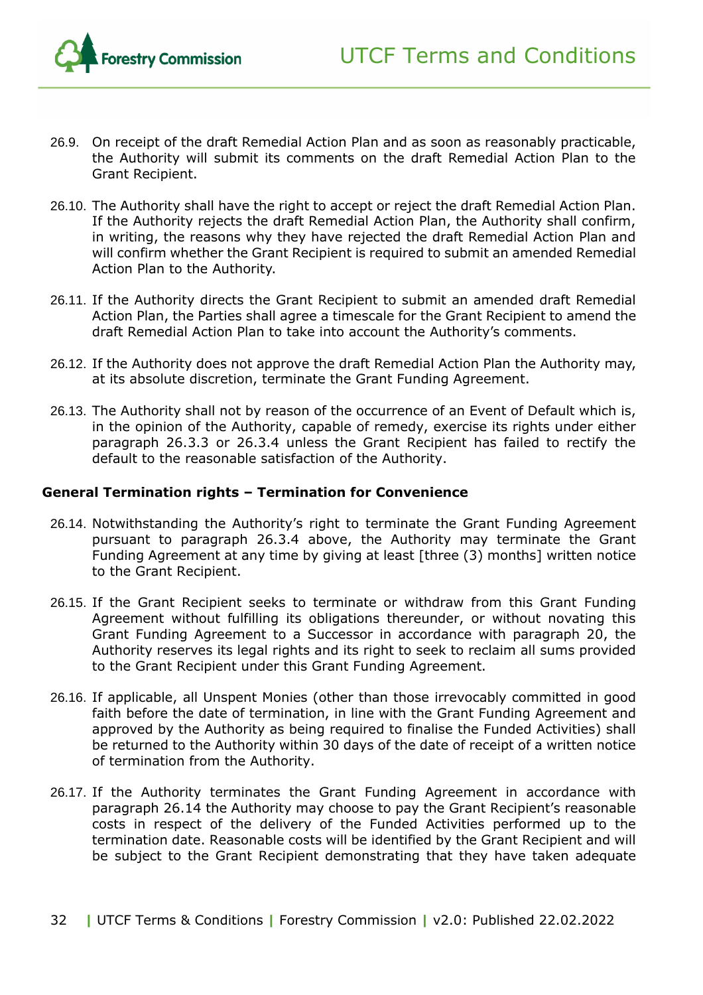

- 26.9. On receipt of the draft Remedial Action Plan and as soon as reasonably practicable, the Authority will submit its comments on the draft Remedial Action Plan to the Grant Recipient.
- 26.10. The Authority shall have the right to accept or reject the draft Remedial Action Plan. If the Authority rejects the draft Remedial Action Plan, the Authority shall confirm, in writing, the reasons why they have rejected the draft Remedial Action Plan and will confirm whether the Grant Recipient is required to submit an amended Remedial Action Plan to the Authority.
- 26.11. If the Authority directs the Grant Recipient to submit an amended draft Remedial Action Plan, the Parties shall agree a timescale for the Grant Recipient to amend the draft Remedial Action Plan to take into account the Authority's comments.
- 26.12. If the Authority does not approve the draft Remedial Action Plan the Authority may, at its absolute discretion, terminate the Grant Funding Agreement.
- <span id="page-31-0"></span>26.13. The Authority shall not by reason of the occurrence of an Event of Default which is, in the opinion of the Authority, capable of remedy, exercise its rights under either paragraph [26.3.3](#page-30-2) or [26.3.4](#page-30-1) unless the Grant Recipient has failed to rectify the default to the reasonable satisfaction of the Authority.

#### **General Termination rights – Termination for Convenience**

- <span id="page-31-1"></span>26.14. Notwithstanding the Authority's right to terminate the Grant Funding Agreement pursuant to paragraph [26.3.4](#page-30-1) above, the Authority may terminate the Grant Funding Agreement at any time by giving at least [three (3) months] written notice to the Grant Recipient.
- 26.15. If the Grant Recipient seeks to terminate or withdraw from this Grant Funding Agreement without fulfilling its obligations thereunder, or without novating this Grant Funding Agreement to a Successor in accordance with paragraph 20, the Authority reserves its legal rights and its right to seek to reclaim all sums provided to the Grant Recipient under this Grant Funding Agreement.
- 26.16. If applicable, all Unspent Monies (other than those irrevocably committed in good faith before the date of termination, in line with the Grant Funding Agreement and approved by the Authority as being required to finalise the Funded Activities) shall be returned to the Authority within 30 days of the date of receipt of a written notice of termination from the Authority.
- 26.17. If the Authority terminates the Grant Funding Agreement in accordance with paragraph [26.14](#page-31-1) the Authority may choose to pay the Grant Recipient's reasonable costs in respect of the delivery of the Funded Activities performed up to the termination date. Reasonable costs will be identified by the Grant Recipient and will be subject to the Grant Recipient demonstrating that they have taken adequate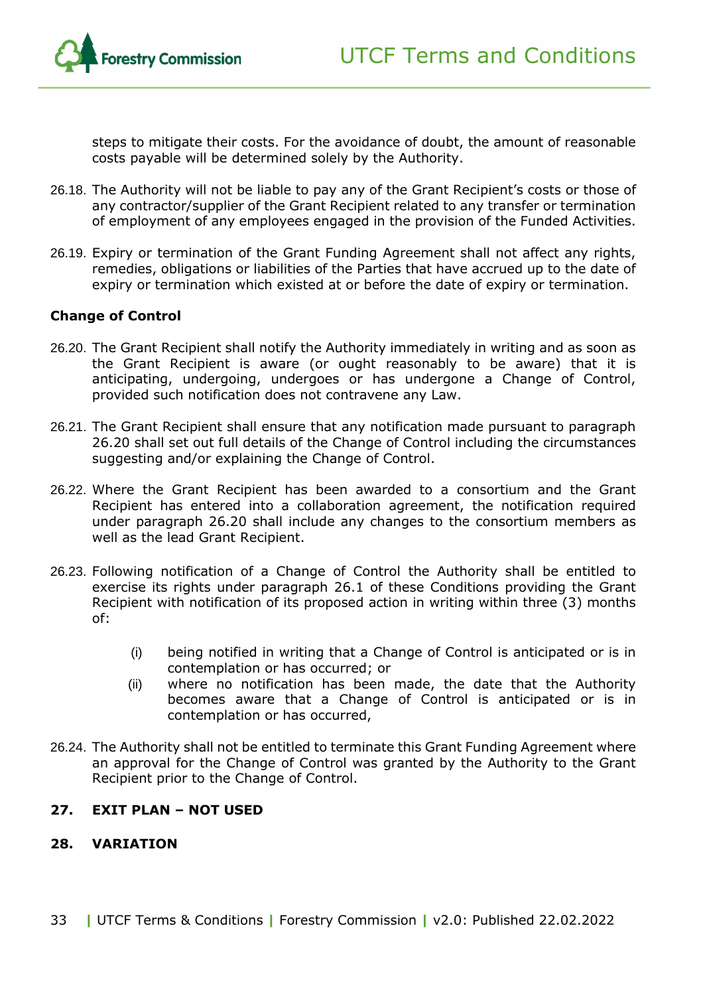

steps to mitigate their costs. For the avoidance of doubt, the amount of reasonable costs payable will be determined solely by the Authority.

- 26.18. The Authority will not be liable to pay any of the Grant Recipient's costs or those of any contractor/supplier of the Grant Recipient related to any transfer or termination of employment of any employees engaged in the provision of the Funded Activities.
- 26.19. Expiry or termination of the Grant Funding Agreement shall not affect any rights, remedies, obligations or liabilities of the Parties that have accrued up to the date of expiry or termination which existed at or before the date of expiry or termination.

#### **Change of Control**

- <span id="page-32-2"></span>26.20. The Grant Recipient shall notify the Authority immediately in writing and as soon as the Grant Recipient is aware (or ought reasonably to be aware) that it is anticipating, undergoing, undergoes or has undergone a Change of Control, provided such notification does not contravene any Law.
- 26.21. The Grant Recipient shall ensure that any notification made pursuant to paragraph 26.20 shall set out full details of the Change of Control including the circumstances suggesting and/or explaining the Change of Control.
- 26.22. Where the Grant Recipient has been awarded to a consortium and the Grant Recipient has entered into a collaboration agreement, the notification required under paragraph [26.20](#page-32-2) shall include any changes to the consortium members as well as the lead Grant Recipient.
- 26.23. Following notification of a Change of Control the Authority shall be entitled to exercise its rights under paragraph [26.1](#page-27-2) of these Conditions providing the Grant Recipient with notification of its proposed action in writing within three (3) months of:
	- (i) being notified in writing that a Change of Control is anticipated or is in contemplation or has occurred; or
	- (ii) where no notification has been made, the date that the Authority becomes aware that a Change of Control is anticipated or is in contemplation or has occurred,
- 26.24. The Authority shall not be entitled to terminate this Grant Funding Agreement where an approval for the Change of Control was granted by the Authority to the Grant Recipient prior to the Change of Control.

#### <span id="page-32-0"></span>**27. EXIT PLAN – NOT USED**

#### <span id="page-32-1"></span>**28. VARIATION**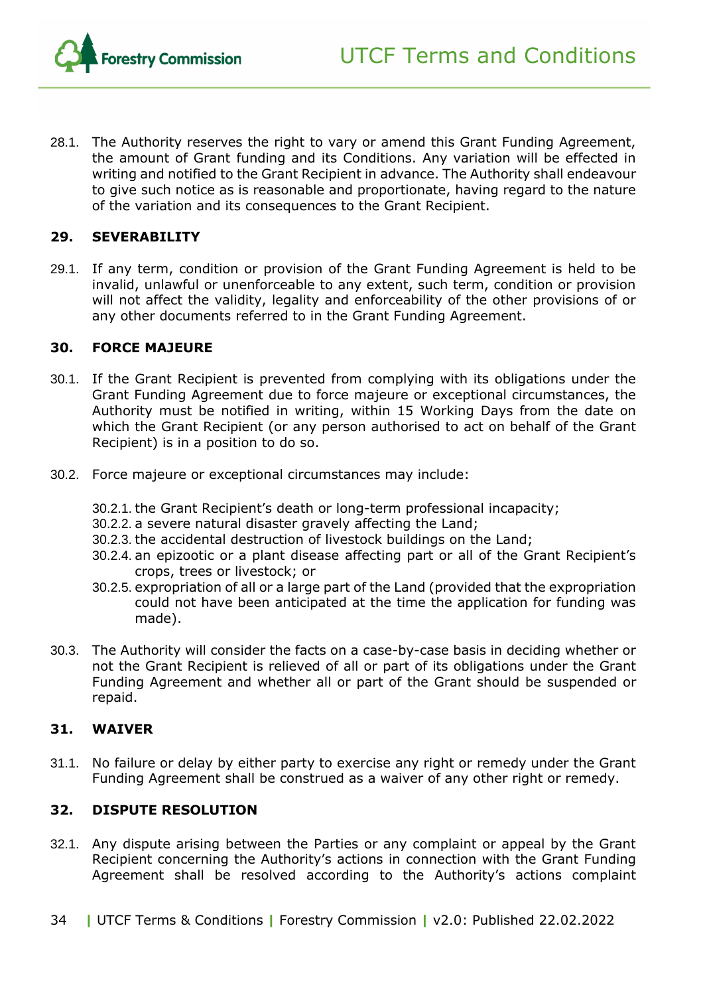

28.1. The Authority reserves the right to vary or amend this Grant Funding Agreement, the amount of Grant funding and its Conditions. Any variation will be effected in writing and notified to the Grant Recipient in advance. The Authority shall endeavour to give such notice as is reasonable and proportionate, having regard to the nature of the variation and its consequences to the Grant Recipient.

#### <span id="page-33-0"></span>**29. SEVERABILITY**

29.1. If any term, condition or provision of the Grant Funding Agreement is held to be invalid, unlawful or unenforceable to any extent, such term, condition or provision will not affect the validity, legality and enforceability of the other provisions of or any other documents referred to in the Grant Funding Agreement.

#### <span id="page-33-1"></span>**30. FORCE MAJEURE**

- 30.1. If the Grant Recipient is prevented from complying with its obligations under the Grant Funding Agreement due to force majeure or exceptional circumstances, the Authority must be notified in writing, within 15 Working Days from the date on which the Grant Recipient (or any person authorised to act on behalf of the Grant Recipient) is in a position to do so.
- 30.2. Force majeure or exceptional circumstances may include:
	- 30.2.1. the Grant Recipient's death or long-term professional incapacity;
	- 30.2.2. a severe natural disaster gravely affecting the Land;
	- 30.2.3. the accidental destruction of livestock buildings on the Land;
	- 30.2.4. an epizootic or a plant disease affecting part or all of the Grant Recipient's crops, trees or livestock; or
	- 30.2.5. expropriation of all or a large part of the Land (provided that the expropriation could not have been anticipated at the time the application for funding was made).
- 30.3. The Authority will consider the facts on a case-by-case basis in deciding whether or not the Grant Recipient is relieved of all or part of its obligations under the Grant Funding Agreement and whether all or part of the Grant should be suspended or repaid.

#### <span id="page-33-2"></span>**31. WAIVER**

31.1. No failure or delay by either party to exercise any right or remedy under the Grant Funding Agreement shall be construed as a waiver of any other right or remedy.

#### <span id="page-33-3"></span>**32. DISPUTE RESOLUTION**

- 32.1. Any dispute arising between the Parties or any complaint or appeal by the Grant Recipient concerning the Authority's actions in connection with the Grant Funding Agreement shall be resolved according to the Authority's actions complaint
- 34 **|** UTCF Terms & Conditions **|** Forestry Commission **|** v2.0: Published 22.02.2022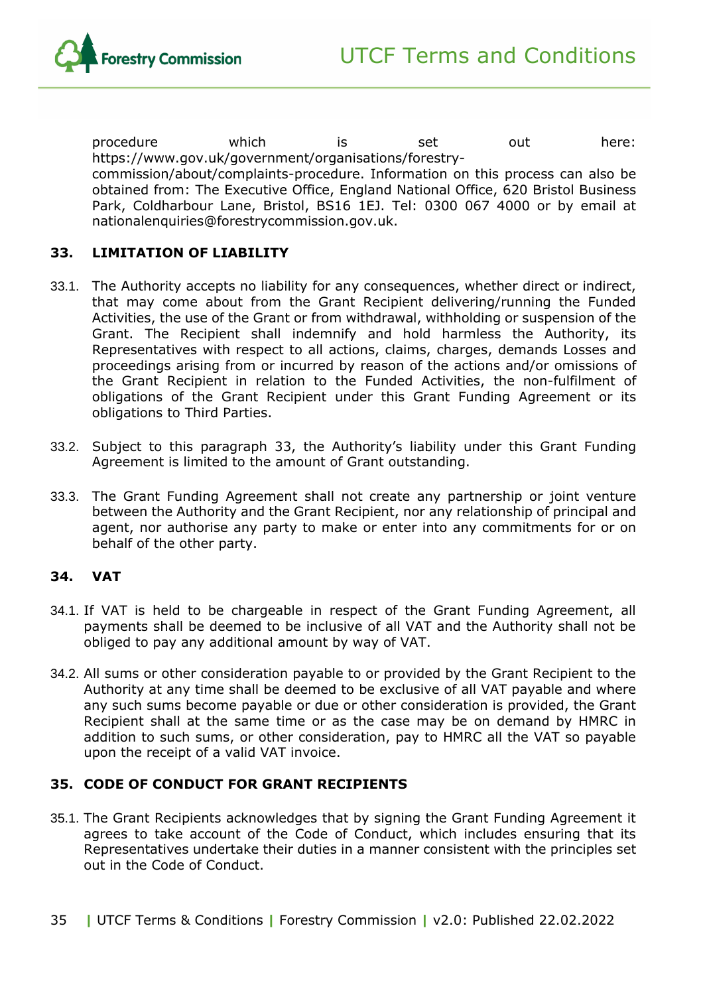procedure which is set out here: https://www.gov.uk/government/organisations/forestrycommission/about/complaints-procedure. Information on this process can also be obtained from: The Executive Office, England National Office, 620 Bristol Business Park, Coldharbour Lane, Bristol, BS16 1EJ. Tel: 0300 067 4000 or by email at nationalenquiries@forestrycommission.gov.uk.

#### <span id="page-34-0"></span>**33. LIMITATION OF LIABILITY**

- 33.1. The Authority accepts no liability for any consequences, whether direct or indirect, that may come about from the Grant Recipient delivering/running the Funded Activities, the use of the Grant or from withdrawal, withholding or suspension of the Grant. The Recipient shall indemnify and hold harmless the Authority, its Representatives with respect to all actions, claims, charges, demands Losses and proceedings arising from or incurred by reason of the actions and/or omissions of the Grant Recipient in relation to the Funded Activities, the non-fulfilment of obligations of the Grant Recipient under this Grant Funding Agreement or its obligations to Third Parties.
- 33.2. Subject to this paragraph [33,](#page-34-0) the Authority's liability under this Grant Funding Agreement is limited to the amount of Grant outstanding.
- 33.3. The Grant Funding Agreement shall not create any partnership or joint venture between the Authority and the Grant Recipient, nor any relationship of principal and agent, nor authorise any party to make or enter into any commitments for or on behalf of the other party.

#### <span id="page-34-1"></span>**34. VAT**

- 34.1. If VAT is held to be chargeable in respect of the Grant Funding Agreement, all payments shall be deemed to be inclusive of all VAT and the Authority shall not be obliged to pay any additional amount by way of VAT.
- 34.2. All sums or other consideration payable to or provided by the Grant Recipient to the Authority at any time shall be deemed to be exclusive of all VAT payable and where any such sums become payable or due or other consideration is provided, the Grant Recipient shall at the same time or as the case may be on demand by HMRC in addition to such sums, or other consideration, pay to HMRC all the VAT so payable upon the receipt of a valid VAT invoice.

#### <span id="page-34-2"></span>**35. CODE OF CONDUCT FOR GRANT RECIPIENTS**

- 35.1. The Grant Recipients acknowledges that by signing the Grant Funding Agreement it agrees to take account of the Code of Conduct, which includes ensuring that its Representatives undertake their duties in a manner consistent with the principles set out in the Code of Conduct.
- 35 **|** UTCF Terms & Conditions **|** Forestry Commission **|** v2.0: Published 22.02.2022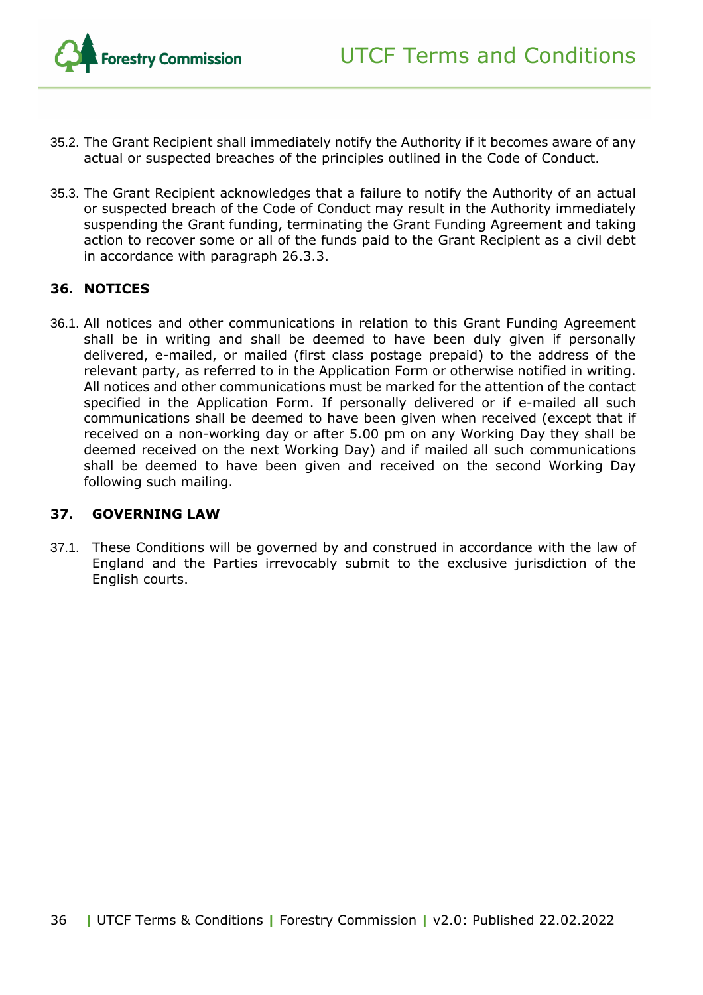

- <span id="page-35-2"></span>35.2. The Grant Recipient shall immediately notify the Authority if it becomes aware of any actual or suspected breaches of the principles outlined in the Code of Conduct.
- 35.3. The Grant Recipient acknowledges that a failure to notify the Authority of an actual or suspected breach of the Code of Conduct may result in the Authority immediately suspending the Grant funding, terminating the Grant Funding Agreement and taking action to recover some or all of the funds paid to the Grant Recipient as a civil debt in accordance with paragraph 26.3.3.

#### <span id="page-35-0"></span>**36. NOTICES**

36.1. All notices and other communications in relation to this Grant Funding Agreement shall be in writing and shall be deemed to have been duly given if personally delivered, e-mailed, or mailed (first class postage prepaid) to the address of the relevant party, as referred to in the Application Form or otherwise notified in writing. All notices and other communications must be marked for the attention of the contact specified in the Application Form. If personally delivered or if e-mailed all such communications shall be deemed to have been given when received (except that if received on a non-working day or after 5.00 pm on any Working Day they shall be deemed received on the next Working Day) and if mailed all such communications shall be deemed to have been given and received on the second Working Day following such mailing.

#### <span id="page-35-1"></span>**37. GOVERNING LAW**

37.1. These Conditions will be governed by and construed in accordance with the law of England and the Parties irrevocably submit to the exclusive jurisdiction of the English courts.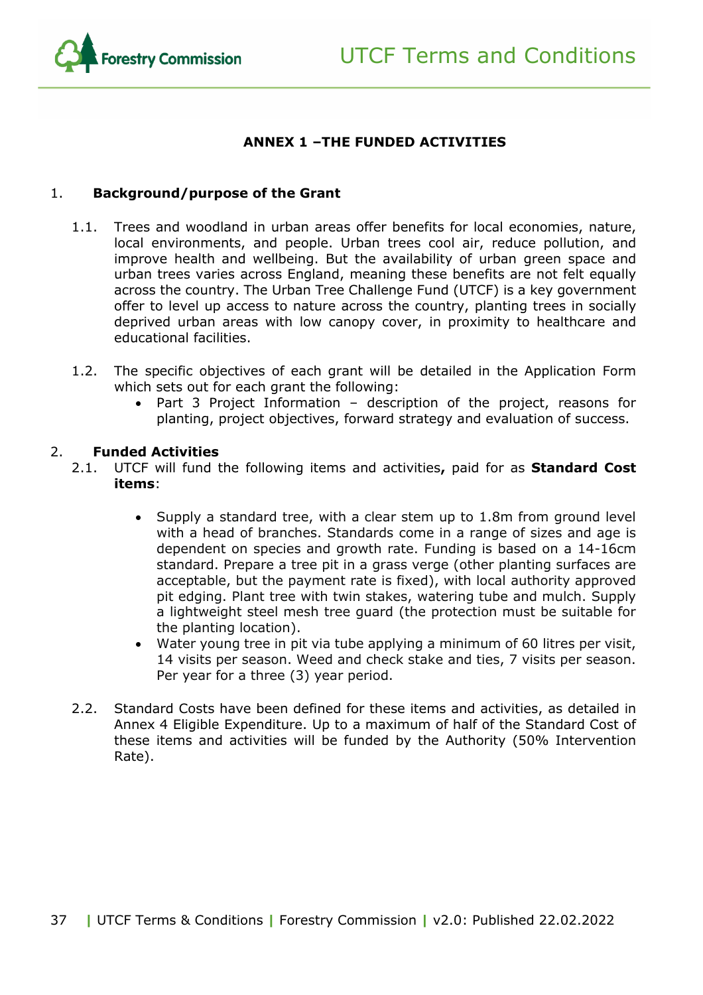

#### **ANNEX 1 –THE FUNDED ACTIVITIES**

#### <span id="page-36-0"></span>1. **Background/purpose of the Grant**

- 1.1. Trees and woodland in urban areas offer benefits for local economies, nature, local environments, and people. Urban trees cool air, reduce pollution, and improve health and wellbeing. But the availability of urban green space and urban trees varies across England, meaning these benefits are not felt equally across the country. The Urban Tree Challenge Fund (UTCF) is a key government offer to level up access to nature across the country, planting trees in socially deprived urban areas with low canopy cover, in proximity to healthcare and educational facilities.
- 1.2. The specific objectives of each grant will be detailed in the Application Form which sets out for each grant the following:
	- Part 3 Project Information description of the project, reasons for planting, project objectives, forward strategy and evaluation of success.

#### 2. **Funded Activities**

- 2.1. UTCF will fund the following items and activities**,** paid for as **Standard Cost items**:
	- Supply a standard tree, with a clear stem up to 1.8m from ground level with a head of branches. Standards come in a range of sizes and age is dependent on species and growth rate. Funding is based on a 14-16cm standard. Prepare a tree pit in a grass verge (other planting surfaces are acceptable, but the payment rate is fixed), with local authority approved pit edging. Plant tree with twin stakes, watering tube and mulch. Supply a lightweight steel mesh tree guard (the protection must be suitable for the planting location).
	- Water young tree in pit via tube applying a minimum of 60 litres per visit, 14 visits per season. Weed and check stake and ties, 7 visits per season. Per year for a three (3) year period.
- 2.2. Standard Costs have been defined for these items and activities, as detailed in Annex 4 Eligible Expenditure. Up to a maximum of half of the Standard Cost of these items and activities will be funded by the Authority (50% Intervention Rate).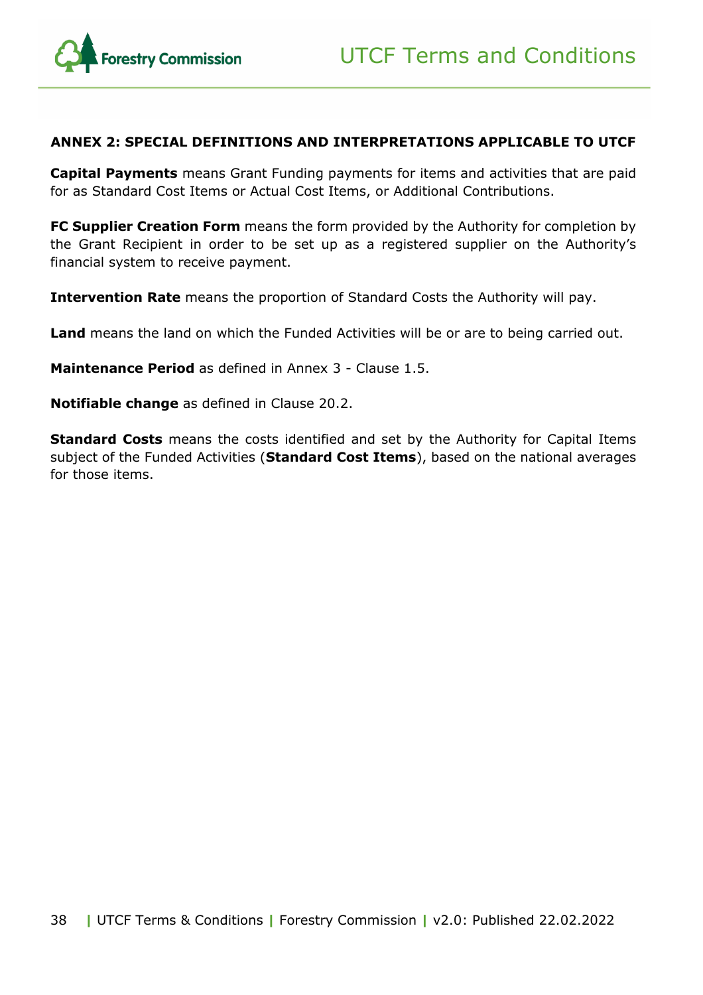

#### <span id="page-37-0"></span>**ANNEX 2: SPECIAL DEFINITIONS AND INTERPRETATIONS APPLICABLE TO UTCF**

**Capital Payments** means Grant Funding payments for items and activities that are paid for as Standard Cost Items or Actual Cost Items, or Additional Contributions.

**FC Supplier Creation Form** means the form provided by the Authority for completion by the Grant Recipient in order to be set up as a registered supplier on the Authority's financial system to receive payment.

**Intervention Rate** means the proportion of Standard Costs the Authority will pay.

**Land** means the land on which the Funded Activities will be or are to being carried out.

**Maintenance Period** as defined in Annex 3 - Clause 1.5.

**Notifiable change** as defined in Clause 20.2.

<span id="page-37-1"></span>**Standard Costs** means the costs identified and set by the Authority for Capital Items subject of the Funded Activities (**Standard Cost Items**), based on the national averages for those items.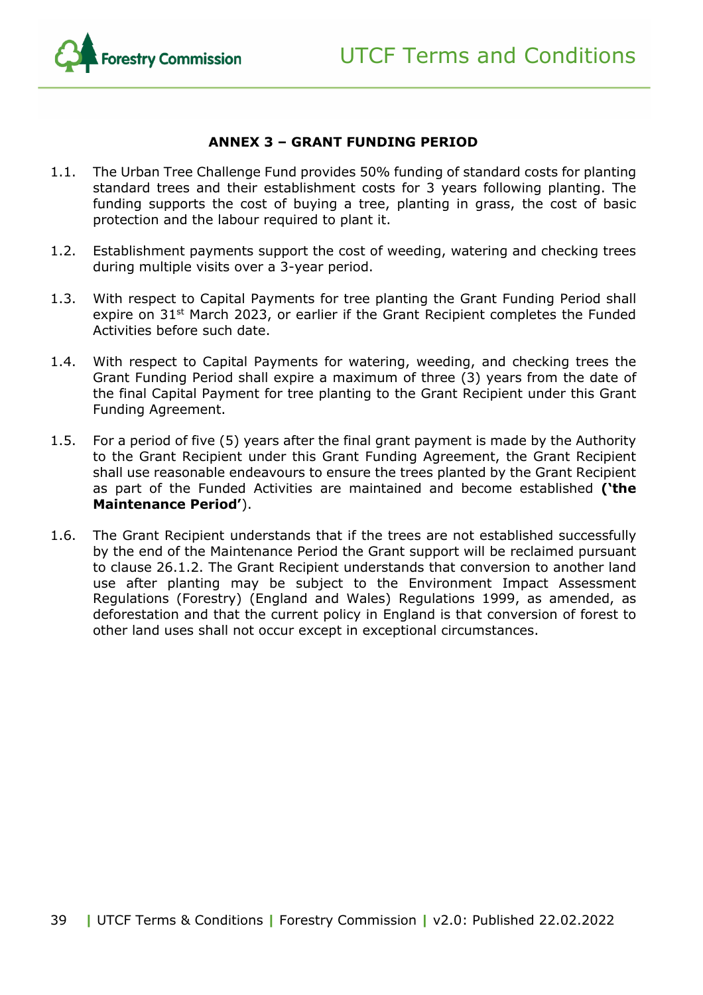

#### **ANNEX 3 – GRANT FUNDING PERIOD**

- 1.1. The Urban Tree Challenge Fund provides 50% funding of standard costs for planting standard trees and their establishment costs for 3 years following planting. The funding supports the cost of buying a tree, planting in grass, the cost of basic protection and the labour required to plant it.
- 1.2. Establishment payments support the cost of weeding, watering and checking trees during multiple visits over a 3-year period.
- 1.3. With respect to Capital Payments for tree planting the Grant Funding Period shall expire on 31<sup>st</sup> March 2023, or earlier if the Grant Recipient completes the Funded Activities before such date.
- 1.4. With respect to Capital Payments for watering, weeding, and checking trees the Grant Funding Period shall expire a maximum of three (3) years from the date of the final Capital Payment for tree planting to the Grant Recipient under this Grant Funding Agreement.
- 1.5. For a period of five (5) years after the final grant payment is made by the Authority to the Grant Recipient under this Grant Funding Agreement, the Grant Recipient shall use reasonable endeavours to ensure the trees planted by the Grant Recipient as part of the Funded Activities are maintained and become established **('the Maintenance Period'**).
- <span id="page-38-0"></span>1.6. The Grant Recipient understands that if the trees are not established successfully by the end of the Maintenance Period the Grant support will be reclaimed pursuant to clause 26.1.2. The Grant Recipient understands that conversion to another land use after planting may be subject to the Environment Impact Assessment Regulations (Forestry) (England and Wales) Regulations 1999, as amended, as deforestation and that the current policy in England is that conversion of forest to other land uses shall not occur except in exceptional circumstances.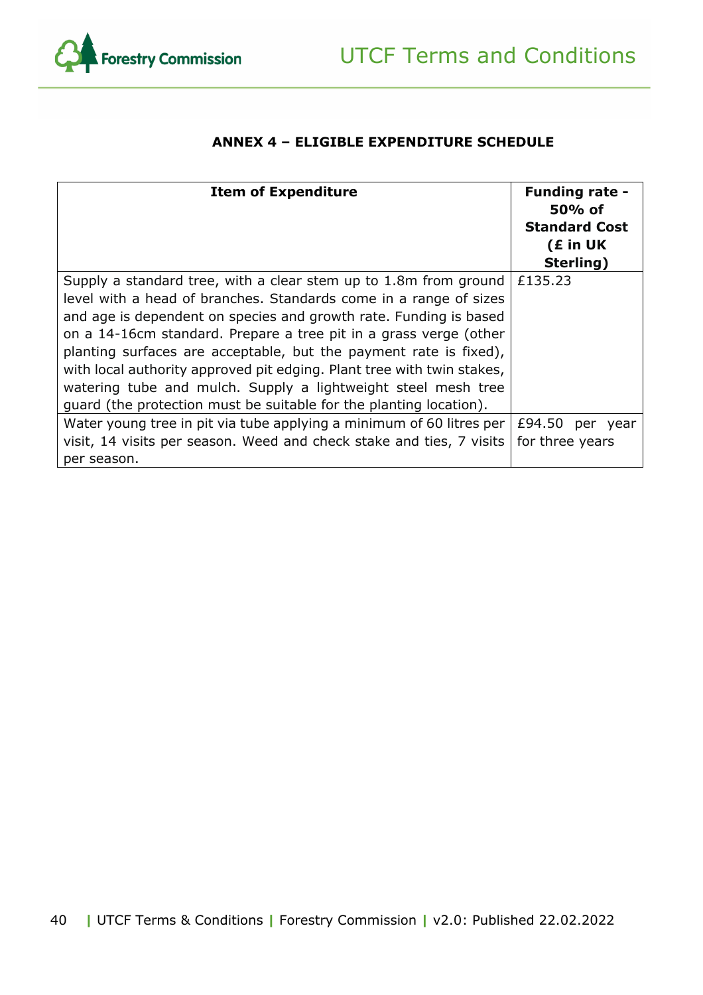

#### **ANNEX 4 – ELIGIBLE EXPENDITURE SCHEDULE**

<span id="page-39-0"></span>

| <b>Item of Expenditure</b>                                                                                                                                                                                                                                                                                                                                                                                                                                                                                                                                            | <b>Funding rate -</b><br>$50%$ of<br><b>Standard Cost</b><br>(£ in UK<br>Sterling) |
|-----------------------------------------------------------------------------------------------------------------------------------------------------------------------------------------------------------------------------------------------------------------------------------------------------------------------------------------------------------------------------------------------------------------------------------------------------------------------------------------------------------------------------------------------------------------------|------------------------------------------------------------------------------------|
| Supply a standard tree, with a clear stem up to 1.8m from ground<br>level with a head of branches. Standards come in a range of sizes<br>and age is dependent on species and growth rate. Funding is based<br>on a 14-16cm standard. Prepare a tree pit in a grass verge (other<br>planting surfaces are acceptable, but the payment rate is fixed),<br>with local authority approved pit edging. Plant tree with twin stakes,<br>watering tube and mulch. Supply a lightweight steel mesh tree<br>guard (the protection must be suitable for the planting location). | £135.23                                                                            |
| Water young tree in pit via tube applying a minimum of 60 litres per<br>visit, 14 visits per season. Weed and check stake and ties, 7 visits<br>per season.                                                                                                                                                                                                                                                                                                                                                                                                           | £94.50 per year<br>for three years                                                 |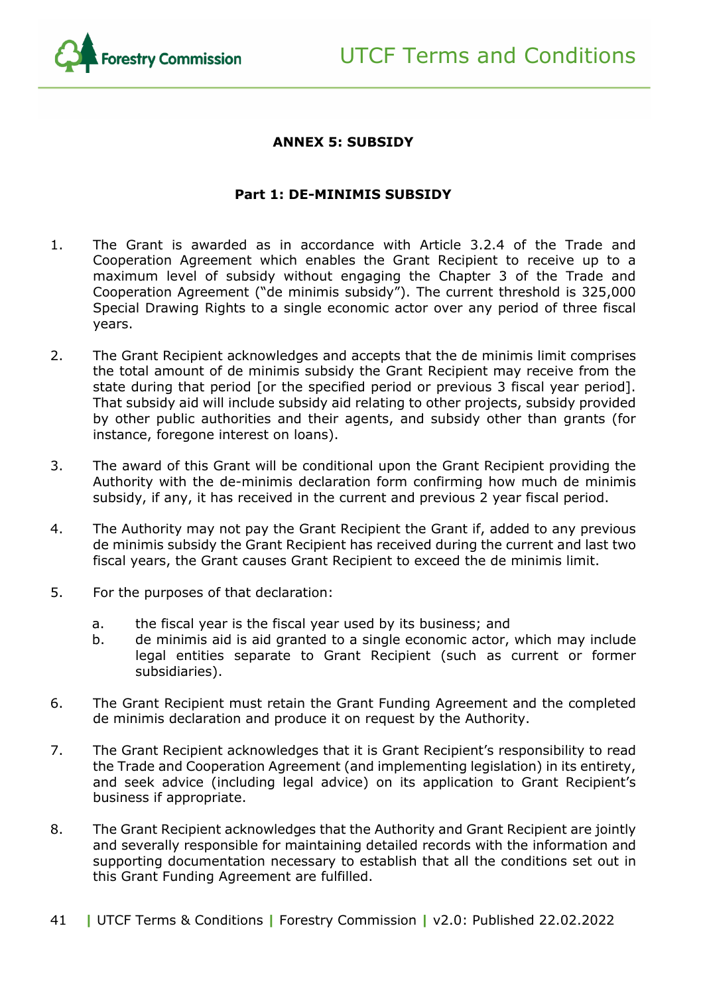

#### **ANNEX 5: SUBSIDY**

#### **Part 1: DE-MINIMIS SUBSIDY**

- 1. The Grant is awarded as in accordance with Article 3.2.4 of the Trade and Cooperation Agreement which enables the Grant Recipient to receive up to a maximum level of subsidy without engaging the Chapter 3 of the Trade and Cooperation Agreement ("de minimis subsidy"). The current threshold is 325,000 Special Drawing Rights to a single economic actor over any period of three fiscal years.
- 2. The Grant Recipient acknowledges and accepts that the de minimis limit comprises the total amount of de minimis subsidy the Grant Recipient may receive from the state during that period [or the specified period or previous 3 fiscal year period]. That subsidy aid will include subsidy aid relating to other projects, subsidy provided by other public authorities and their agents, and subsidy other than grants (for instance, foregone interest on loans).
- 3. The award of this Grant will be conditional upon the Grant Recipient providing the Authority with the de-minimis declaration form confirming how much de minimis subsidy, if any, it has received in the current and previous 2 year fiscal period.
- 4. The Authority may not pay the Grant Recipient the Grant if, added to any previous de minimis subsidy the Grant Recipient has received during the current and last two fiscal years, the Grant causes Grant Recipient to exceed the de minimis limit.
- 5. For the purposes of that declaration:
	- a. the fiscal year is the fiscal year used by its business; and
	- b. de minimis aid is aid granted to a single economic actor, which may include legal entities separate to Grant Recipient (such as current or former subsidiaries).
- 6. The Grant Recipient must retain the Grant Funding Agreement and the completed de minimis declaration and produce it on request by the Authority.
- 7. The Grant Recipient acknowledges that it is Grant Recipient's responsibility to read the Trade and Cooperation Agreement (and implementing legislation) in its entirety, and seek advice (including legal advice) on its application to Grant Recipient's business if appropriate.
- 8. The Grant Recipient acknowledges that the Authority and Grant Recipient are jointly and severally responsible for maintaining detailed records with the information and supporting documentation necessary to establish that all the conditions set out in this Grant Funding Agreement are fulfilled.
- 41 **|** UTCF Terms & Conditions **|** Forestry Commission **|** v2.0: Published 22.02.2022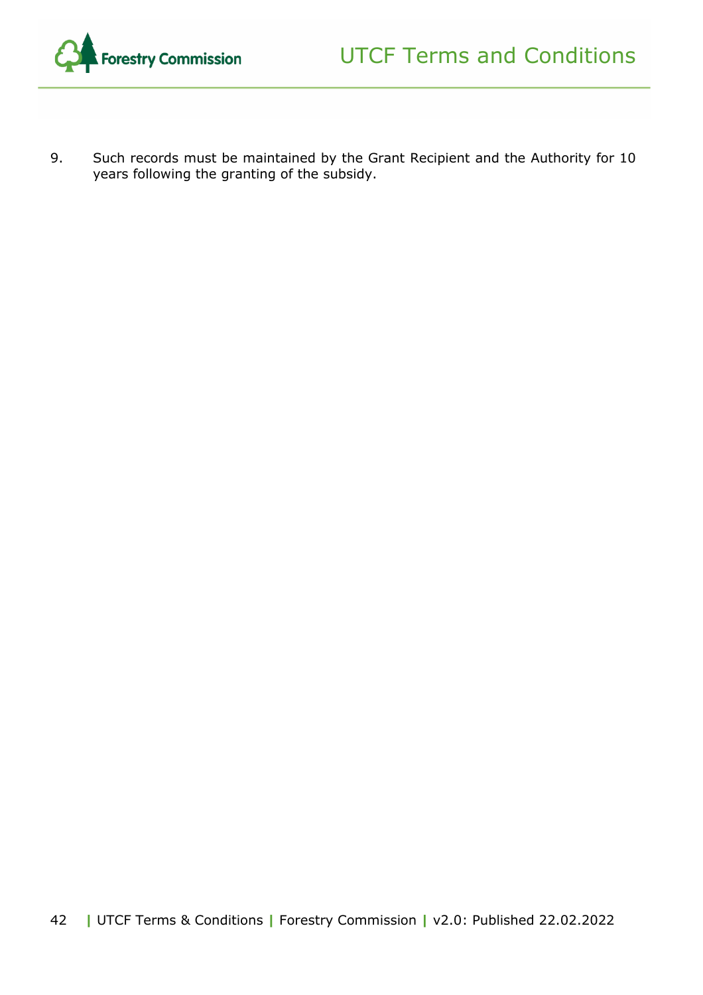

9. Such records must be maintained by the Grant Recipient and the Authority for 10 years following the granting of the subsidy.